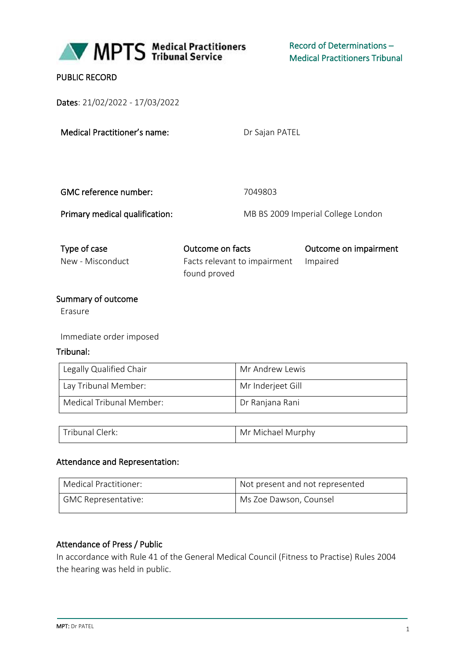

### PUBLIC RECORD

Dates: 21/02/2022 - 17/03/2022

Dr Sajan PATEL

| GMC reference number:          | 7049803                            |
|--------------------------------|------------------------------------|
| Primary medical qualification: | MB BS 2009 Imperial College London |

### Type of case Outcome on facts Outcome on impairment New - Misconduct Facts relevant to impairment

found proved

#### Impaired

#### Summary of outcome

Erasure

Immediate order imposed

#### Tribunal:

| Legally Qualified Chair  | Mr Andrew Lewis   |  |
|--------------------------|-------------------|--|
| Lay Tribunal Member:     | Mr Inderjeet Gill |  |
| Medical Tribunal Member: | Dr Ranjana Rani   |  |

| Tribunal C<br>Llerk: | Mr Michael Murphy |
|----------------------|-------------------|
|----------------------|-------------------|

#### Attendance and Representation:

| Medical Practitioner:      | Not present and not represented |  |  |
|----------------------------|---------------------------------|--|--|
| <b>GMC Representative:</b> | Ms Zoe Dawson, Counsel          |  |  |

#### Attendance of Press / Public

In accordance with Rule 41 of the General Medical Council (Fitness to Practise) Rules 2004 the hearing was held in public.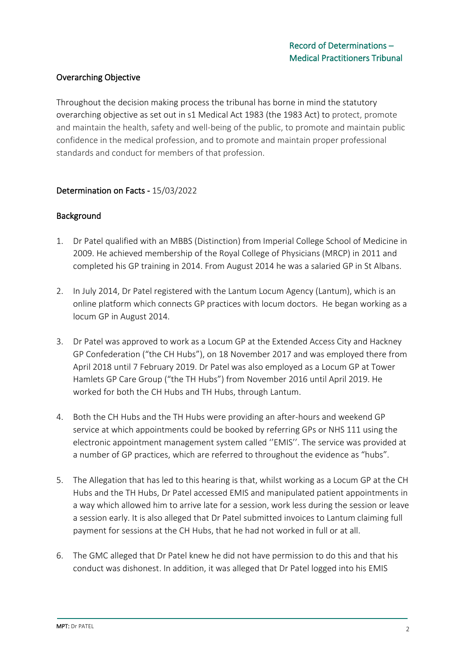## Overarching Objective

Throughout the decision making process the tribunal has borne in mind the statutory overarching objective as set out in s1 Medical Act 1983 (the 1983 Act) to protect, promote and maintain the health, safety and well-being of the public, to promote and maintain public confidence in the medical profession, and to promote and maintain proper professional standards and conduct for members of that profession.

### Determination on Facts - 15/03/2022

### **Background**

- 1. Dr Patel qualified with an MBBS (Distinction) from Imperial College School of Medicine in 2009. He achieved membership of the Royal College of Physicians (MRCP) in 2011 and completed his GP training in 2014. From August 2014 he was a salaried GP in St Albans.
- 2. In July 2014, Dr Patel registered with the Lantum Locum Agency (Lantum), which is an online platform which connects GP practices with locum doctors. He began working as a locum GP in August 2014.
- 3. Dr Patel was approved to work as a Locum GP at the Extended Access City and Hackney GP Confederation ("the CH Hubs"), on 18 November 2017 and was employed there from April 2018 until 7 February 2019. Dr Patel was also employed as a Locum GP at Tower Hamlets GP Care Group ("the TH Hubs") from November 2016 until April 2019. He worked for both the CH Hubs and TH Hubs, through Lantum.
- 4. Both the CH Hubs and the TH Hubs were providing an after-hours and weekend GP service at which appointments could be booked by referring GPs or NHS 111 using the electronic appointment management system called ''EMIS''. The service was provided at a number of GP practices, which are referred to throughout the evidence as "hubs".
- 5. The Allegation that has led to this hearing is that, whilst working as a Locum GP at the CH Hubs and the TH Hubs, Dr Patel accessed EMIS and manipulated patient appointments in a way which allowed him to arrive late for a session, work less during the session or leave a session early. It is also alleged that Dr Patel submitted invoices to Lantum claiming full payment for sessions at the CH Hubs, that he had not worked in full or at all.
- 6. The GMC alleged that Dr Patel knew he did not have permission to do this and that his conduct was dishonest. In addition, it was alleged that Dr Patel logged into his EMIS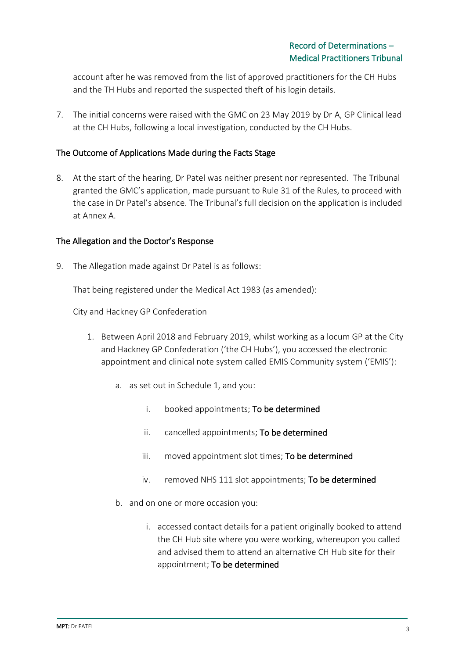account after he was removed from the list of approved practitioners for the CH Hubs and the TH Hubs and reported the suspected theft of his login details.

7. The initial concerns were raised with the GMC on 23 May 2019 by Dr A, GP Clinical lead at the CH Hubs, following a local investigation, conducted by the CH Hubs.

### The Outcome of Applications Made during the Facts Stage

8. At the start of the hearing, Dr Patel was neither present nor represented. The Tribunal granted the GMC's application, made pursuant to Rule 31 of the Rules, to proceed with the case in Dr Patel's absence. The Tribunal's full decision on the application is included at Annex A.

#### The Allegation and the Doctor's Response

9. The Allegation made against Dr Patel is as follows:

That being registered under the Medical Act 1983 (as amended):

#### City and Hackney GP Confederation

- 1. Between April 2018 and February 2019, whilst working as a locum GP at the City and Hackney GP Confederation ('the CH Hubs'), you accessed the electronic appointment and clinical note system called EMIS Community system ('EMIS'):
	- a. as set out in Schedule 1, and you:
		- i. booked appointments; To be determined
		- ii. cancelled appointments; To be determined
		- iii. moved appointment slot times; To be determined
		- iv. removed NHS 111 slot appointments; To be determined
	- b. and on one or more occasion you:
		- i. accessed contact details for a patient originally booked to attend the CH Hub site where you were working, whereupon you called and advised them to attend an alternative CH Hub site for their appointment; To be determined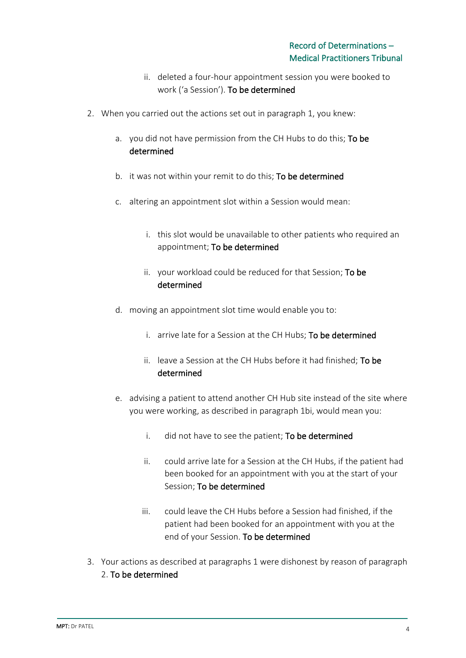- ii. deleted a four-hour appointment session you were booked to work ('a Session'). To be determined
- 2. When you carried out the actions set out in paragraph 1, you knew:
	- a. you did not have permission from the CH Hubs to do this; To be determined
	- b. it was not within your remit to do this; To be determined
	- c. altering an appointment slot within a Session would mean:
		- i. this slot would be unavailable to other patients who required an appointment; To be determined
		- ii. your workload could be reduced for that Session; To be determined
	- d. moving an appointment slot time would enable you to:
		- i. arrive late for a Session at the CH Hubs; To be determined
		- ii. leave a Session at the CH Hubs before it had finished; To be determined
	- e. advising a patient to attend another CH Hub site instead of the site where you were working, as described in paragraph 1bi, would mean you:
		- i. did not have to see the patient; To be determined
		- ii. could arrive late for a Session at the CH Hubs, if the patient had been booked for an appointment with you at the start of your Session; To be determined
		- iii. could leave the CH Hubs before a Session had finished, if the patient had been booked for an appointment with you at the end of your Session. To be determined
- 3. Your actions as described at paragraphs 1 were dishonest by reason of paragraph 2. To be determined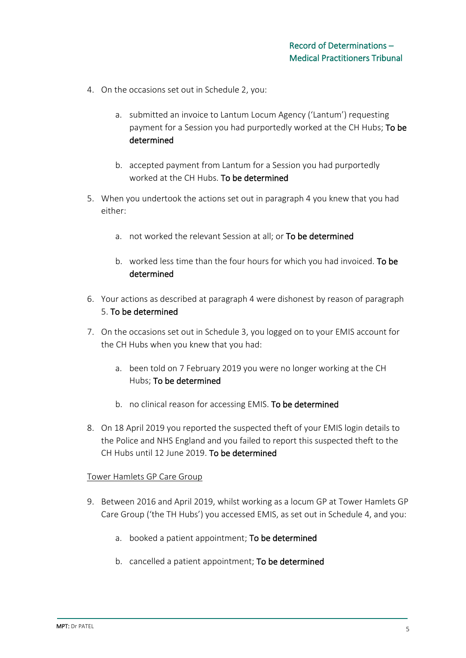- 4. On the occasions set out in Schedule 2, you:
	- a. submitted an invoice to Lantum Locum Agency ('Lantum') requesting payment for a Session you had purportedly worked at the CH Hubs; To be determined
	- b. accepted payment from Lantum for a Session you had purportedly worked at the CH Hubs. To be determined
- 5. When you undertook the actions set out in paragraph 4 you knew that you had either:
	- a. not worked the relevant Session at all; or To be determined
	- b. worked less time than the four hours for which you had invoiced. To be determined
- 6. Your actions as described at paragraph 4 were dishonest by reason of paragraph 5. To be determined
- 7. On the occasions set out in Schedule 3, you logged on to your EMIS account for the CH Hubs when you knew that you had:
	- a. been told on 7 February 2019 you were no longer working at the CH Hubs; To be determined
	- b. no clinical reason for accessing EMIS. To be determined
- 8. On 18 April 2019 you reported the suspected theft of your EMIS login details to the Police and NHS England and you failed to report this suspected theft to the CH Hubs until 12 June 2019. To be determined

#### Tower Hamlets GP Care Group

- 9. Between 2016 and April 2019, whilst working as a locum GP at Tower Hamlets GP Care Group ('the TH Hubs') you accessed EMIS, as set out in Schedule 4, and you:
	- a. booked a patient appointment; To be determined
	- b. cancelled a patient appointment; To be determined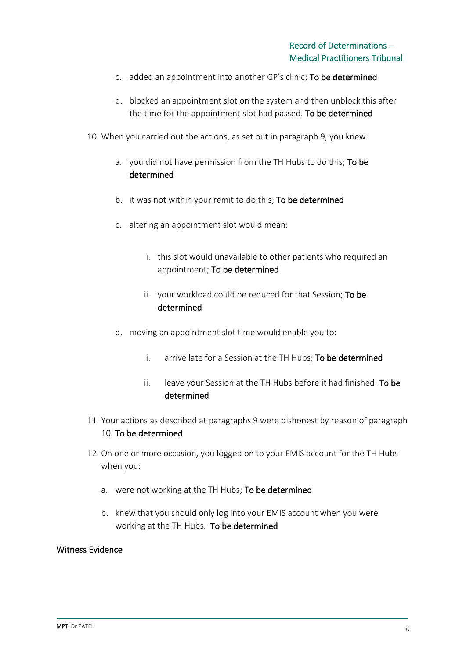- c. added an appointment into another GP's clinic; To be determined
- d. blocked an appointment slot on the system and then unblock this after the time for the appointment slot had passed. To be determined

10. When you carried out the actions, as set out in paragraph 9, you knew:

- a. you did not have permission from the TH Hubs to do this; To be determined
- b. it was not within your remit to do this; To be determined
- c. altering an appointment slot would mean:
	- i. this slot would unavailable to other patients who required an appointment; To be determined
	- ii. your workload could be reduced for that Session; To be determined
- d. moving an appointment slot time would enable you to:
	- i. arrive late for a Session at the TH Hubs; To be determined
	- ii. leave your Session at the TH Hubs before it had finished. To be determined
- 11. Your actions as described at paragraphs 9 were dishonest by reason of paragraph 10. To be determined
- 12. On one or more occasion, you logged on to your EMIS account for the TH Hubs when you:
	- a. were not working at the TH Hubs; To be determined
	- b. knew that you should only log into your EMIS account when you were working at the TH Hubs. To be determined

#### Witness Evidence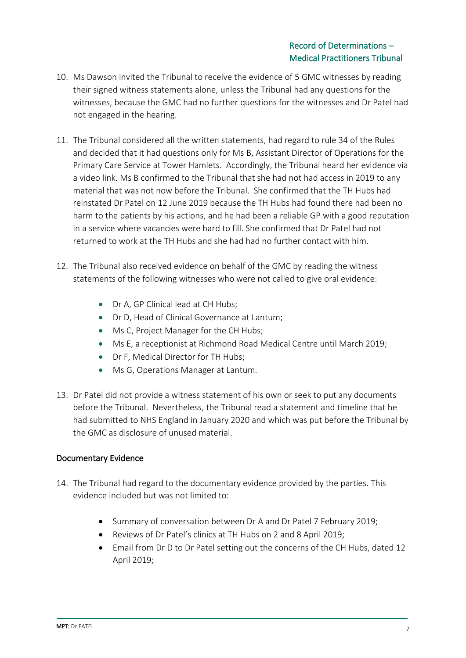- 10. Ms Dawson invited the Tribunal to receive the evidence of 5 GMC witnesses by reading their signed witness statements alone, unless the Tribunal had any questions for the witnesses, because the GMC had no further questions for the witnesses and Dr Patel had not engaged in the hearing.
- 11. The Tribunal considered all the written statements, had regard to rule 34 of the Rules and decided that it had questions only for Ms B, Assistant Director of Operations for the Primary Care Service at Tower Hamlets. Accordingly, the Tribunal heard her evidence via a video link. Ms B confirmed to the Tribunal that she had not had access in 2019 to any material that was not now before the Tribunal. She confirmed that the TH Hubs had reinstated Dr Patel on 12 June 2019 because the TH Hubs had found there had been no harm to the patients by his actions, and he had been a reliable GP with a good reputation in a service where vacancies were hard to fill. She confirmed that Dr Patel had not returned to work at the TH Hubs and she had had no further contact with him.
- 12. The Tribunal also received evidence on behalf of the GMC by reading the witness statements of the following witnesses who were not called to give oral evidence:
	- Dr A, GP Clinical lead at CH Hubs;
	- Dr D, Head of Clinical Governance at Lantum;
	- Ms C, Project Manager for the CH Hubs;
	- Ms E, a receptionist at Richmond Road Medical Centre until March 2019;
	- Dr F, Medical Director for TH Hubs;
	- Ms G, Operations Manager at Lantum.
- 13. Dr Patel did not provide a witness statement of his own or seek to put any documents before the Tribunal. Nevertheless, the Tribunal read a statement and timeline that he had submitted to NHS England in January 2020 and which was put before the Tribunal by the GMC as disclosure of unused material.

### Documentary Evidence

- 14. The Tribunal had regard to the documentary evidence provided by the parties. This evidence included but was not limited to:
	- Summary of conversation between Dr A and Dr Patel 7 February 2019;
	- Reviews of Dr Patel's clinics at TH Hubs on 2 and 8 April 2019;
	- Email from Dr D to Dr Patel setting out the concerns of the CH Hubs, dated 12 April 2019;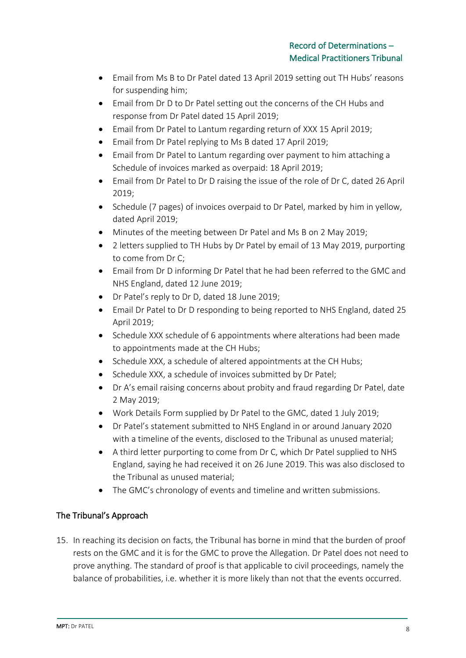- Email from Ms B to Dr Patel dated 13 April 2019 setting out TH Hubs' reasons for suspending him;
- Email from Dr D to Dr Patel setting out the concerns of the CH Hubs and response from Dr Patel dated 15 April 2019;
- Email from Dr Patel to Lantum regarding return of XXX 15 April 2019;
- Email from Dr Patel replying to Ms B dated 17 April 2019;
- Email from Dr Patel to Lantum regarding over payment to him attaching a Schedule of invoices marked as overpaid: 18 April 2019;
- Email from Dr Patel to Dr D raising the issue of the role of Dr C, dated 26 April 2019;
- Schedule (7 pages) of invoices overpaid to Dr Patel, marked by him in yellow, dated April 2019;
- Minutes of the meeting between Dr Patel and Ms B on 2 May 2019;
- 2 letters supplied to TH Hubs by Dr Patel by email of 13 May 2019, purporting to come from Dr C;
- Email from Dr D informing Dr Patel that he had been referred to the GMC and NHS England, dated 12 June 2019;
- Dr Patel's reply to Dr D, dated 18 June 2019;
- Email Dr Patel to Dr D responding to being reported to NHS England, dated 25 April 2019;
- Schedule XXX schedule of 6 appointments where alterations had been made to appointments made at the CH Hubs;
- Schedule XXX, a schedule of altered appointments at the CH Hubs;
- Schedule XXX, a schedule of invoices submitted by Dr Patel;
- Dr A's email raising concerns about probity and fraud regarding Dr Patel, date 2 May 2019;
- Work Details Form supplied by Dr Patel to the GMC, dated 1 July 2019;
- Dr Patel's statement submitted to NHS England in or around January 2020 with a timeline of the events, disclosed to the Tribunal as unused material;
- A third letter purporting to come from Dr C, which Dr Patel supplied to NHS England, saying he had received it on 26 June 2019. This was also disclosed to the Tribunal as unused material;
- The GMC's chronology of events and timeline and written submissions.

## The Tribunal's Approach

15. In reaching its decision on facts, the Tribunal has borne in mind that the burden of proof rests on the GMC and it is for the GMC to prove the Allegation. Dr Patel does not need to prove anything. The standard of proof is that applicable to civil proceedings, namely the balance of probabilities, i.e. whether it is more likely than not that the events occurred.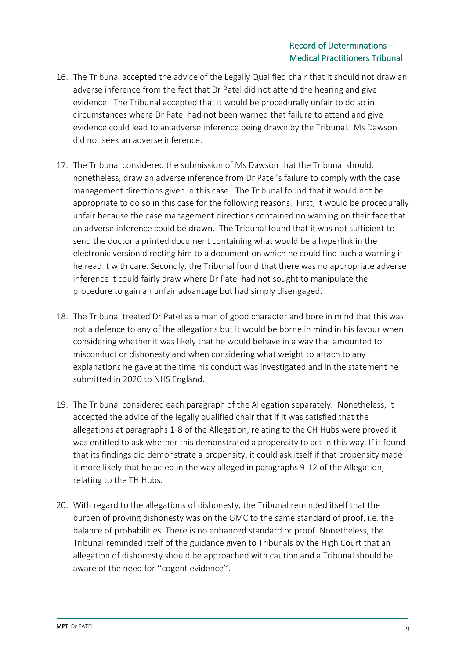- 16. The Tribunal accepted the advice of the Legally Qualified chair that it should not draw an adverse inference from the fact that Dr Patel did not attend the hearing and give evidence. The Tribunal accepted that it would be procedurally unfair to do so in circumstances where Dr Patel had not been warned that failure to attend and give evidence could lead to an adverse inference being drawn by the Tribunal. Ms Dawson did not seek an adverse inference.
- 17. The Tribunal considered the submission of Ms Dawson that the Tribunal should, nonetheless, draw an adverse inference from Dr Patel's failure to comply with the case management directions given in this case. The Tribunal found that it would not be appropriate to do so in this case for the following reasons. First, it would be procedurally unfair because the case management directions contained no warning on their face that an adverse inference could be drawn. The Tribunal found that it was not sufficient to send the doctor a printed document containing what would be a hyperlink in the electronic version directing him to a document on which he could find such a warning if he read it with care. Secondly, the Tribunal found that there was no appropriate adverse inference it could fairly draw where Dr Patel had not sought to manipulate the procedure to gain an unfair advantage but had simply disengaged.
- 18. The Tribunal treated Dr Patel as a man of good character and bore in mind that this was not a defence to any of the allegations but it would be borne in mind in his favour when considering whether it was likely that he would behave in a way that amounted to misconduct or dishonesty and when considering what weight to attach to any explanations he gave at the time his conduct was investigated and in the statement he submitted in 2020 to NHS England.
- 19. The Tribunal considered each paragraph of the Allegation separately. Nonetheless, it accepted the advice of the legally qualified chair that if it was satisfied that the allegations at paragraphs 1-8 of the Allegation, relating to the CH Hubs were proved it was entitled to ask whether this demonstrated a propensity to act in this way. If it found that its findings did demonstrate a propensity, it could ask itself if that propensity made it more likely that he acted in the way alleged in paragraphs 9-12 of the Allegation, relating to the TH Hubs.
- 20. With regard to the allegations of dishonesty, the Tribunal reminded itself that the burden of proving dishonesty was on the GMC to the same standard of proof, i.e. the balance of probabilities. There is no enhanced standard or proof. Nonetheless, the Tribunal reminded itself of the guidance given to Tribunals by the High Court that an allegation of dishonesty should be approached with caution and a Tribunal should be aware of the need for ''cogent evidence''.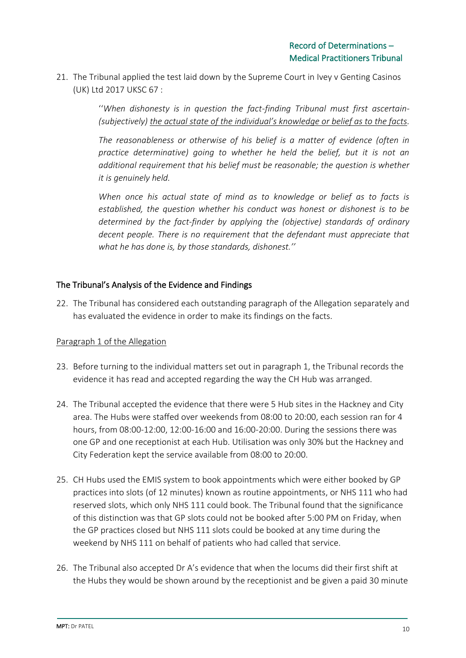21. The Tribunal applied the test laid down by the Supreme Court in Ivey v Genting Casinos (UK) Ltd 2017 UKSC 67 :

> ''*When dishonesty is in question the fact-finding Tribunal must first ascertain- (subjectively) the actual state of the individual's knowledge or belief as to the facts.*

> *The reasonableness or otherwise of his belief is a matter of evidence (often in practice determinative) going to whether he held the belief, but it is not an additional requirement that his belief must be reasonable; the question is whether it is genuinely held.*

> *When once his actual state of mind as to knowledge or belief as to facts is established, the question whether his conduct was honest or dishonest is to be determined by the fact-finder by applying the (objective) standards of ordinary decent people. There is no requirement that the defendant must appreciate that what he has done is, by those standards, dishonest.''*

## The Tribunal's Analysis of the Evidence and Findings

22. The Tribunal has considered each outstanding paragraph of the Allegation separately and has evaluated the evidence in order to make its findings on the facts.

### Paragraph 1 of the Allegation

- 23. Before turning to the individual matters set out in paragraph 1, the Tribunal records the evidence it has read and accepted regarding the way the CH Hub was arranged.
- 24. The Tribunal accepted the evidence that there were 5 Hub sites in the Hackney and City area. The Hubs were staffed over weekends from 08:00 to 20:00, each session ran for 4 hours, from 08:00-12:00, 12:00-16:00 and 16:00-20:00. During the sessions there was one GP and one receptionist at each Hub. Utilisation was only 30% but the Hackney and City Federation kept the service available from 08:00 to 20:00.
- 25. CH Hubs used the EMIS system to book appointments which were either booked by GP practices into slots (of 12 minutes) known as routine appointments, or NHS 111 who had reserved slots, which only NHS 111 could book. The Tribunal found that the significance of this distinction was that GP slots could not be booked after 5:00 PM on Friday, when the GP practices closed but NHS 111 slots could be booked at any time during the weekend by NHS 111 on behalf of patients who had called that service.
- 26. The Tribunal also accepted Dr A's evidence that when the locums did their first shift at the Hubs they would be shown around by the receptionist and be given a paid 30 minute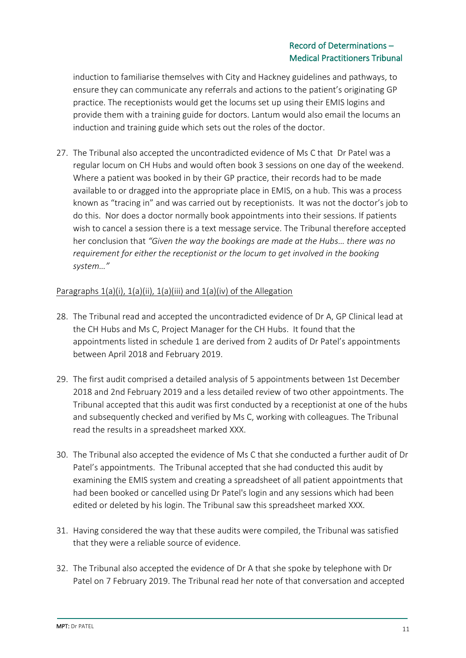induction to familiarise themselves with City and Hackney guidelines and pathways, to ensure they can communicate any referrals and actions to the patient's originating GP practice. The receptionists would get the locums set up using their EMIS logins and provide them with a training guide for doctors. Lantum would also email the locums an induction and training guide which sets out the roles of the doctor.

27. The Tribunal also accepted the uncontradicted evidence of Ms C that Dr Patel was a regular locum on CH Hubs and would often book 3 sessions on one day of the weekend. Where a patient was booked in by their GP practice, their records had to be made available to or dragged into the appropriate place in EMIS, on a hub. This was a process known as "tracing in" and was carried out by receptionists. It was not the doctor's job to do this. Nor does a doctor normally book appointments into their sessions. If patients wish to cancel a session there is a text message service. The Tribunal therefore accepted her conclusion that *"Given the way the bookings are made at the Hubs… there was no requirement for either the receptionist or the locum to get involved in the booking system…"*

## Paragraphs  $1(a)(i)$ ,  $1(a)(ii)$ ,  $1(a)(iii)$  and  $1(a)(iv)$  of the Allegation

- 28. The Tribunal read and accepted the uncontradicted evidence of Dr A, GP Clinical lead at the CH Hubs and Ms C, Project Manager for the CH Hubs. It found that the appointments listed in schedule 1 are derived from 2 audits of Dr Patel's appointments between April 2018 and February 2019.
- 29. The first audit comprised a detailed analysis of 5 appointments between 1st December 2018 and 2nd February 2019 and a less detailed review of two other appointments. The Tribunal accepted that this audit was first conducted by a receptionist at one of the hubs and subsequently checked and verified by Ms C, working with colleagues. The Tribunal read the results in a spreadsheet marked XXX.
- 30. The Tribunal also accepted the evidence of Ms C that she conducted a further audit of Dr Patel's appointments. The Tribunal accepted that she had conducted this audit by examining the EMIS system and creating a spreadsheet of all patient appointments that had been booked or cancelled using Dr Patel's login and any sessions which had been edited or deleted by his login. The Tribunal saw this spreadsheet marked XXX.
- 31. Having considered the way that these audits were compiled, the Tribunal was satisfied that they were a reliable source of evidence.
- 32. The Tribunal also accepted the evidence of Dr A that she spoke by telephone with Dr Patel on 7 February 2019. The Tribunal read her note of that conversation and accepted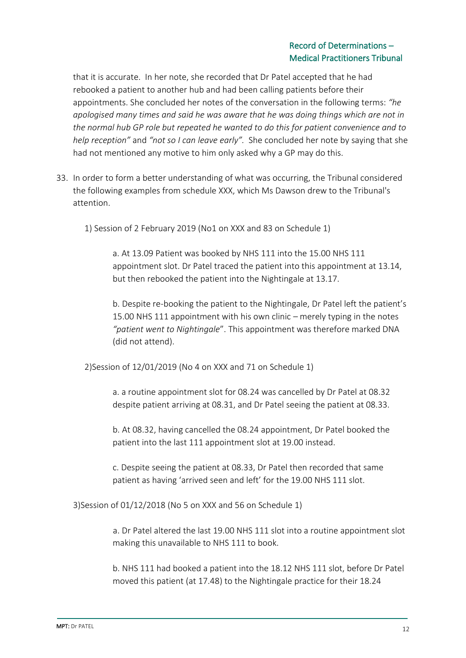that it is accurate. In her note, she recorded that Dr Patel accepted that he had rebooked a patient to another hub and had been calling patients before their appointments. She concluded her notes of the conversation in the following terms: *"he apologised many times and said he was aware that he was doing things which are not in the normal hub GP role but repeated he wanted to do this for patient convenience and to help reception"* and *"not so I can leave early".* She concluded her note by saying that she had not mentioned any motive to him only asked why a GP may do this.

- 33. In order to form a better understanding of what was occurring, the Tribunal considered the following examples from schedule XXX, which Ms Dawson drew to the Tribunal's attention.
	- 1) Session of 2 February 2019 (No1 on XXX and 83 on Schedule 1)

a. At 13.09 Patient was booked by NHS 111 into the 15.00 NHS 111 appointment slot. Dr Patel traced the patient into this appointment at 13.14, but then rebooked the patient into the Nightingale at 13.17.

b. Despite re-booking the patient to the Nightingale, Dr Patel left the patient's 15.00 NHS 111 appointment with his own clinic – merely typing in the notes *"patient went to Nightingale*". This appointment was therefore marked DNA (did not attend).

2)Session of 12/01/2019 (No 4 on XXX and 71 on Schedule 1)

a. a routine appointment slot for 08.24 was cancelled by Dr Patel at 08.32 despite patient arriving at 08.31, and Dr Patel seeing the patient at 08.33.

b. At 08.32, having cancelled the 08.24 appointment, Dr Patel booked the patient into the last 111 appointment slot at 19.00 instead.

c. Despite seeing the patient at 08.33, Dr Patel then recorded that same patient as having 'arrived seen and left' for the 19.00 NHS 111 slot.

3)Session of 01/12/2018 (No 5 on XXX and 56 on Schedule 1)

a. Dr Patel altered the last 19.00 NHS 111 slot into a routine appointment slot making this unavailable to NHS 111 to book.

b. NHS 111 had booked a patient into the 18.12 NHS 111 slot, before Dr Patel moved this patient (at 17.48) to the Nightingale practice for their 18.24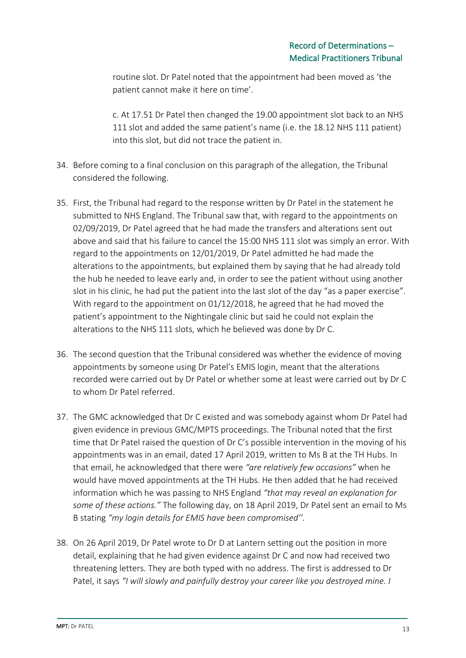routine slot. Dr Patel noted that the appointment had been moved as 'the patient cannot make it here on time'.

c. At 17.51 Dr Patel then changed the 19.00 appointment slot back to an NHS 111 slot and added the same patient's name (i.e. the 18.12 NHS 111 patient) into this slot, but did not trace the patient in.

- 34. Before coming to a final conclusion on this paragraph of the allegation, the Tribunal considered the following.
- 35. First, the Tribunal had regard to the response written by Dr Patel in the statement he submitted to NHS England. The Tribunal saw that, with regard to the appointments on 02/09/2019, Dr Patel agreed that he had made the transfers and alterations sent out above and said that his failure to cancel the 15:00 NHS 111 slot was simply an error. With regard to the appointments on 12/01/2019, Dr Patel admitted he had made the alterations to the appointments, but explained them by saying that he had already told the hub he needed to leave early and, in order to see the patient without using another slot in his clinic, he had put the patient into the last slot of the day "as a paper exercise". With regard to the appointment on 01/12/2018, he agreed that he had moved the patient's appointment to the Nightingale clinic but said he could not explain the alterations to the NHS 111 slots, which he believed was done by Dr C.
- 36. The second question that the Tribunal considered was whether the evidence of moving appointments by someone using Dr Patel's EMIS login, meant that the alterations recorded were carried out by Dr Patel or whether some at least were carried out by Dr C to whom Dr Patel referred.
- 37. The GMC acknowledged that Dr C existed and was somebody against whom Dr Patel had given evidence in previous GMC/MPTS proceedings. The Tribunal noted that the first time that Dr Patel raised the question of Dr C's possible intervention in the moving of his appointments was in an email, dated 17 April 2019, written to Ms B at the TH Hubs. In that email, he acknowledged that there were *"are relatively few occasions"* when he would have moved appointments at the TH Hubs. He then added that he had received information which he was passing to NHS England *"that may reveal an explanation for some of these actions."* The following day, on 18 April 2019, Dr Patel sent an email to Ms B stating *"my login details for EMIS have been compromised''.*
- 38. On 26 April 2019, Dr Patel wrote to Dr D at Lantern setting out the position in more detail, explaining that he had given evidence against Dr C and now had received two threatening letters. They are both typed with no address. The first is addressed to Dr Patel, it says *"I will slowly and painfully destroy your career like you destroyed mine. I*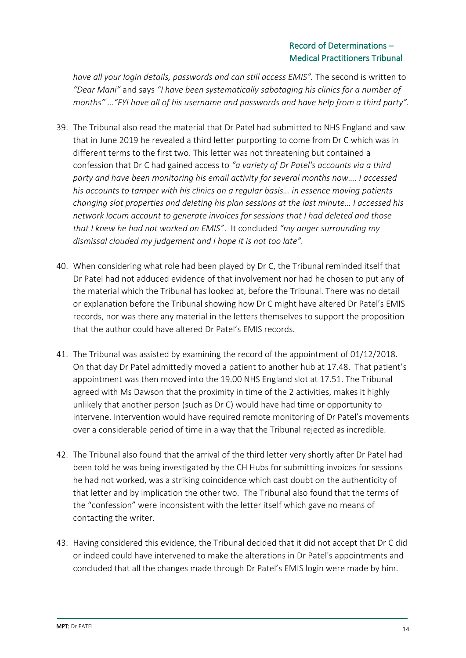*have all your login details, passwords and can still access EMIS".* The second is written to *"Dear Mani"* and says *"I have been systematically sabotaging his clinics for a number of months" …"FYI have all of his username and passwords and have help from a third party".*

- 39. The Tribunal also read the material that Dr Patel had submitted to NHS England and saw that in June 2019 he revealed a third letter purporting to come from Dr C which was in different terms to the first two. This letter was not threatening but contained a confession that Dr C had gained access to *"a variety of Dr Patel's accounts via a third party and have been monitoring his email activity for several months now…. I accessed his accounts to tamper with his clinics on a regular basis… in essence moving patients changing slot properties and deleting his plan sessions at the last minute… I accessed his network locum account to generate invoices for sessions that I had deleted and those that I knew he had not worked on EMIS"*. It concluded *"my anger surrounding my dismissal clouded my judgement and I hope it is not too late".*
- 40. When considering what role had been played by Dr C, the Tribunal reminded itself that Dr Patel had not adduced evidence of that involvement nor had he chosen to put any of the material which the Tribunal has looked at, before the Tribunal. There was no detail or explanation before the Tribunal showing how Dr C might have altered Dr Patel's EMIS records, nor was there any material in the letters themselves to support the proposition that the author could have altered Dr Patel's EMIS records.
- 41. The Tribunal was assisted by examining the record of the appointment of 01/12/2018. On that day Dr Patel admittedly moved a patient to another hub at 17.48. That patient's appointment was then moved into the 19.00 NHS England slot at 17.51. The Tribunal agreed with Ms Dawson that the proximity in time of the 2 activities, makes it highly unlikely that another person (such as Dr C) would have had time or opportunity to intervene. Intervention would have required remote monitoring of Dr Patel's movements over a considerable period of time in a way that the Tribunal rejected as incredible.
- 42. The Tribunal also found that the arrival of the third letter very shortly after Dr Patel had been told he was being investigated by the CH Hubs for submitting invoices for sessions he had not worked, was a striking coincidence which cast doubt on the authenticity of that letter and by implication the other two. The Tribunal also found that the terms of the "confession" were inconsistent with the letter itself which gave no means of contacting the writer.
- 43. Having considered this evidence, the Tribunal decided that it did not accept that Dr C did or indeed could have intervened to make the alterations in Dr Patel's appointments and concluded that all the changes made through Dr Patel's EMIS login were made by him.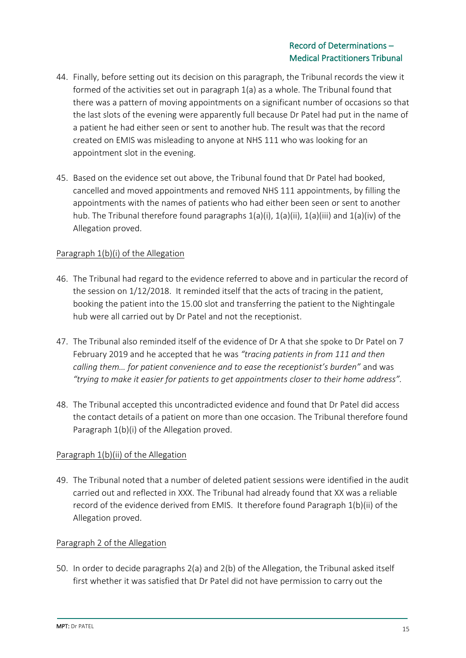- 44. Finally, before setting out its decision on this paragraph, the Tribunal records the view it formed of the activities set out in paragraph 1(a) as a whole. The Tribunal found that there was a pattern of moving appointments on a significant number of occasions so that the last slots of the evening were apparently full because Dr Patel had put in the name of a patient he had either seen or sent to another hub. The result was that the record created on EMIS was misleading to anyone at NHS 111 who was looking for an appointment slot in the evening.
- 45. Based on the evidence set out above, the Tribunal found that Dr Patel had booked, cancelled and moved appointments and removed NHS 111 appointments, by filling the appointments with the names of patients who had either been seen or sent to another hub. The Tribunal therefore found paragraphs  $1(a)(i)$ ,  $1(a)(ii)$ ,  $1(a)(iii)$  and  $1(a)(iv)$  of the Allegation proved.

### Paragraph 1(b)(i) of the Allegation

- 46. The Tribunal had regard to the evidence referred to above and in particular the record of the session on 1/12/2018. It reminded itself that the acts of tracing in the patient, booking the patient into the 15.00 slot and transferring the patient to the Nightingale hub were all carried out by Dr Patel and not the receptionist.
- 47. The Tribunal also reminded itself of the evidence of Dr A that she spoke to Dr Patel on 7 February 2019 and he accepted that he was *"tracing patients in from 111 and then calling them… for patient convenience and to ease the receptionist's burden"* and was *"trying to make it easier for patients to get appointments closer to their home address".*
- 48. The Tribunal accepted this uncontradicted evidence and found that Dr Patel did access the contact details of a patient on more than one occasion. The Tribunal therefore found Paragraph 1(b)(i) of the Allegation proved.

## Paragraph 1(b)(ii) of the Allegation

49. The Tribunal noted that a number of deleted patient sessions were identified in the audit carried out and reflected in XXX. The Tribunal had already found that XX was a reliable record of the evidence derived from EMIS. It therefore found Paragraph 1(b)(ii) of the Allegation proved.

### Paragraph 2 of the Allegation

50. In order to decide paragraphs 2(a) and 2(b) of the Allegation, the Tribunal asked itself first whether it was satisfied that Dr Patel did not have permission to carry out the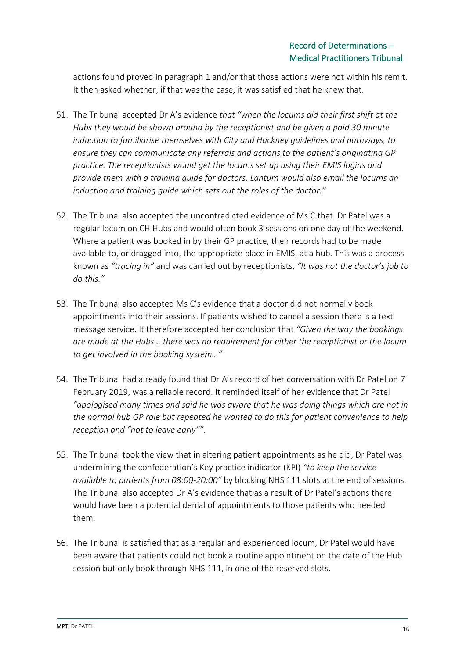actions found proved in paragraph 1 and/or that those actions were not within his remit. It then asked whether, if that was the case, it was satisfied that he knew that.

- 51. The Tribunal accepted Dr A's evidence *that "when the locums did their first shift at the Hubs they would be shown around by the receptionist and be given a paid 30 minute induction to familiarise themselves with City and Hackney guidelines and pathways, to ensure they can communicate any referrals and actions to the patient's originating GP practice. The receptionists would get the locums set up using their EMIS logins and provide them with a training guide for doctors. Lantum would also email the locums an induction and training guide which sets out the roles of the doctor."*
- 52. The Tribunal also accepted the uncontradicted evidence of Ms C that Dr Patel was a regular locum on CH Hubs and would often book 3 sessions on one day of the weekend. Where a patient was booked in by their GP practice, their records had to be made available to, or dragged into, the appropriate place in EMIS, at a hub. This was a process known as *"tracing in"* and was carried out by receptionists, *"It was not the doctor's job to do this."*
- 53. The Tribunal also accepted Ms C's evidence that a doctor did not normally book appointments into their sessions. If patients wished to cancel a session there is a text message service. It therefore accepted her conclusion that *"Given the way the bookings are made at the Hubs… there was no requirement for either the receptionist or the locum to get involved in the booking system…"*
- 54. The Tribunal had already found that Dr A's record of her conversation with Dr Patel on 7 February 2019, was a reliable record. It reminded itself of her evidence that Dr Patel *"apologised many times and said he was aware that he was doing things which are not in the normal hub GP role but repeated he wanted to do this for patient convenience to help reception and "not to leave early"".*
- 55. The Tribunal took the view that in altering patient appointments as he did, Dr Patel was undermining the confederation's Key practice indicator (KPI) *"to keep the service available to patients from 08:00-20:00"* by blocking NHS 111 slots at the end of sessions. The Tribunal also accepted Dr A's evidence that as a result of Dr Patel's actions there would have been a potential denial of appointments to those patients who needed them.
- 56. The Tribunal is satisfied that as a regular and experienced locum, Dr Patel would have been aware that patients could not book a routine appointment on the date of the Hub session but only book through NHS 111, in one of the reserved slots.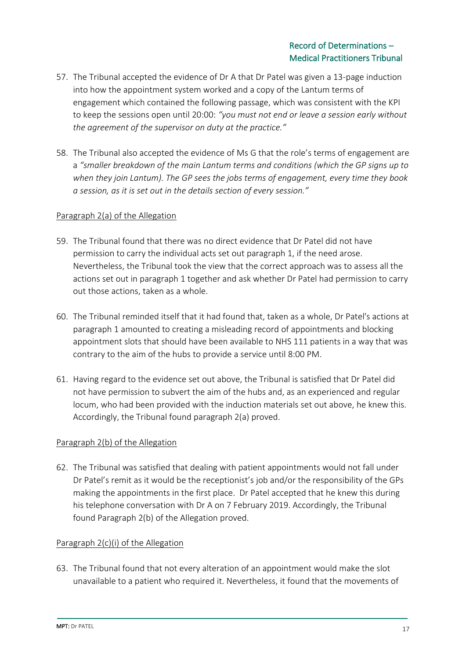- 57. The Tribunal accepted the evidence of Dr A that Dr Patel was given a 13-page induction into how the appointment system worked and a copy of the Lantum terms of engagement which contained the following passage, which was consistent with the KPI to keep the sessions open until 20:00: *"you must not end or leave a session early without the agreement of the supervisor on duty at the practice."*
- 58. The Tribunal also accepted the evidence of Ms G that the role's terms of engagement are a *"smaller breakdown of the main Lantum terms and conditions (which the GP signs up to when they join Lantum). The GP sees the jobs terms of engagement, every time they book a session, as it is set out in the details section of every session."*

### Paragraph 2(a) of the Allegation

- 59. The Tribunal found that there was no direct evidence that Dr Patel did not have permission to carry the individual acts set out paragraph 1, if the need arose. Nevertheless, the Tribunal took the view that the correct approach was to assess all the actions set out in paragraph 1 together and ask whether Dr Patel had permission to carry out those actions, taken as a whole.
- 60. The Tribunal reminded itself that it had found that, taken as a whole, Dr Patel's actions at paragraph 1 amounted to creating a misleading record of appointments and blocking appointment slots that should have been available to NHS 111 patients in a way that was contrary to the aim of the hubs to provide a service until 8:00 PM.
- 61. Having regard to the evidence set out above, the Tribunal is satisfied that Dr Patel did not have permission to subvert the aim of the hubs and, as an experienced and regular locum, who had been provided with the induction materials set out above, he knew this. Accordingly, the Tribunal found paragraph 2(a) proved.

#### Paragraph 2(b) of the Allegation

62. The Tribunal was satisfied that dealing with patient appointments would not fall under Dr Patel's remit as it would be the receptionist's job and/or the responsibility of the GPs making the appointments in the first place. Dr Patel accepted that he knew this during his telephone conversation with Dr A on 7 February 2019. Accordingly, the Tribunal found Paragraph 2(b) of the Allegation proved.

### Paragraph 2(c)(i) of the Allegation

63. The Tribunal found that not every alteration of an appointment would make the slot unavailable to a patient who required it. Nevertheless, it found that the movements of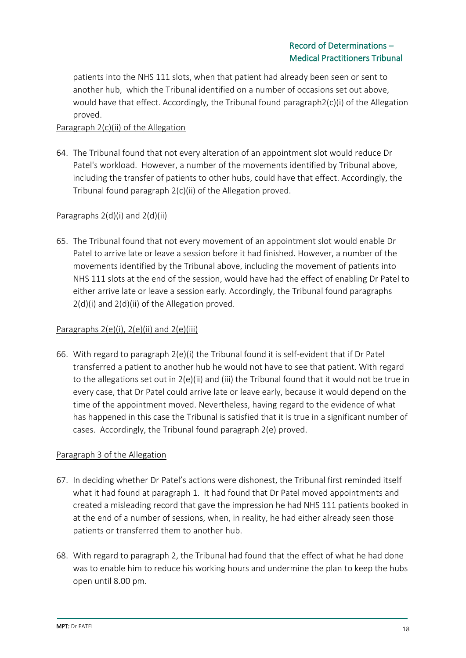patients into the NHS 111 slots, when that patient had already been seen or sent to another hub, which the Tribunal identified on a number of occasions set out above, would have that effect. Accordingly, the Tribunal found paragraph2(c)(i) of the Allegation proved.

## Paragraph 2(c)(ii) of the Allegation

64. The Tribunal found that not every alteration of an appointment slot would reduce Dr Patel's workload. However, a number of the movements identified by Tribunal above, including the transfer of patients to other hubs, could have that effect. Accordingly, the Tribunal found paragraph 2(c)(ii) of the Allegation proved.

### Paragraphs 2(d)(i) and 2(d)(ii)

65. The Tribunal found that not every movement of an appointment slot would enable Dr Patel to arrive late or leave a session before it had finished. However, a number of the movements identified by the Tribunal above, including the movement of patients into NHS 111 slots at the end of the session, would have had the effect of enabling Dr Patel to either arrive late or leave a session early. Accordingly, the Tribunal found paragraphs 2(d)(i) and 2(d)(ii) of the Allegation proved.

## Paragraphs  $2(e)(i)$ ,  $2(e)(ii)$  and  $2(e)(iii)$

66. With regard to paragraph 2(e)(i) the Tribunal found it is self-evident that if Dr Patel transferred a patient to another hub he would not have to see that patient. With regard to the allegations set out in 2(e)(ii) and (iii) the Tribunal found that it would not be true in every case, that Dr Patel could arrive late or leave early, because it would depend on the time of the appointment moved. Nevertheless, having regard to the evidence of what has happened in this case the Tribunal is satisfied that it is true in a significant number of cases. Accordingly, the Tribunal found paragraph 2(e) proved.

### Paragraph 3 of the Allegation

- 67. In deciding whether Dr Patel's actions were dishonest, the Tribunal first reminded itself what it had found at paragraph 1. It had found that Dr Patel moved appointments and created a misleading record that gave the impression he had NHS 111 patients booked in at the end of a number of sessions, when, in reality, he had either already seen those patients or transferred them to another hub.
- 68. With regard to paragraph 2, the Tribunal had found that the effect of what he had done was to enable him to reduce his working hours and undermine the plan to keep the hubs open until 8.00 pm.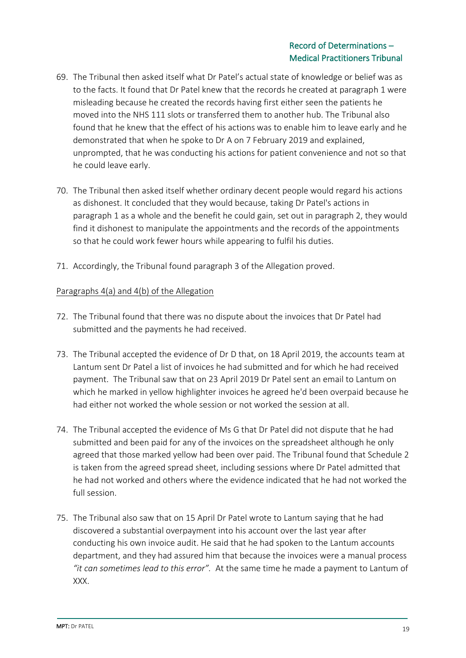- 69. The Tribunal then asked itself what Dr Patel's actual state of knowledge or belief was as to the facts. It found that Dr Patel knew that the records he created at paragraph 1 were misleading because he created the records having first either seen the patients he moved into the NHS 111 slots or transferred them to another hub. The Tribunal also found that he knew that the effect of his actions was to enable him to leave early and he demonstrated that when he spoke to Dr A on 7 February 2019 and explained, unprompted, that he was conducting his actions for patient convenience and not so that he could leave early.
- 70. The Tribunal then asked itself whether ordinary decent people would regard his actions as dishonest. It concluded that they would because, taking Dr Patel's actions in paragraph 1 as a whole and the benefit he could gain, set out in paragraph 2, they would find it dishonest to manipulate the appointments and the records of the appointments so that he could work fewer hours while appearing to fulfil his duties.
- 71. Accordingly, the Tribunal found paragraph 3 of the Allegation proved.

### Paragraphs 4(a) and 4(b) of the Allegation

- 72. The Tribunal found that there was no dispute about the invoices that Dr Patel had submitted and the payments he had received.
- 73. The Tribunal accepted the evidence of Dr D that, on 18 April 2019, the accounts team at Lantum sent Dr Patel a list of invoices he had submitted and for which he had received payment. The Tribunal saw that on 23 April 2019 Dr Patel sent an email to Lantum on which he marked in yellow highlighter invoices he agreed he'd been overpaid because he had either not worked the whole session or not worked the session at all.
- 74. The Tribunal accepted the evidence of Ms G that Dr Patel did not dispute that he had submitted and been paid for any of the invoices on the spreadsheet although he only agreed that those marked yellow had been over paid. The Tribunal found that Schedule 2 is taken from the agreed spread sheet, including sessions where Dr Patel admitted that he had not worked and others where the evidence indicated that he had not worked the full session.
- 75. The Tribunal also saw that on 15 April Dr Patel wrote to Lantum saying that he had discovered a substantial overpayment into his account over the last year after conducting his own invoice audit. He said that he had spoken to the Lantum accounts department, and they had assured him that because the invoices were a manual process *"it can sometimes lead to this error".* At the same time he made a payment to Lantum of XXX.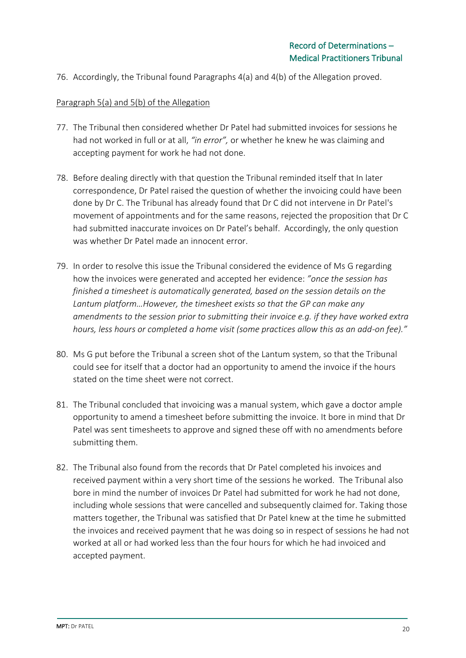76. Accordingly, the Tribunal found Paragraphs 4(a) and 4(b) of the Allegation proved.

#### Paragraph 5(a) and 5(b) of the Allegation

- 77. The Tribunal then considered whether Dr Patel had submitted invoices for sessions he had not worked in full or at all, *"in error",* or whether he knew he was claiming and accepting payment for work he had not done.
- 78. Before dealing directly with that question the Tribunal reminded itself that In later correspondence, Dr Patel raised the question of whether the invoicing could have been done by Dr C. The Tribunal has already found that Dr C did not intervene in Dr Patel's movement of appointments and for the same reasons, rejected the proposition that Dr C had submitted inaccurate invoices on Dr Patel's behalf. Accordingly, the only question was whether Dr Patel made an innocent error.
- 79. In order to resolve this issue the Tribunal considered the evidence of Ms G regarding how the invoices were generated and accepted her evidence: *"once the session has finished a timesheet is automatically generated, based on the session details on the Lantum platform…However, the timesheet exists so that the GP can make any amendments to the session prior to submitting their invoice e.g. if they have worked extra hours, less hours or completed a home visit (some practices allow this as an add-on fee)."*
- 80. Ms G put before the Tribunal a screen shot of the Lantum system, so that the Tribunal could see for itself that a doctor had an opportunity to amend the invoice if the hours stated on the time sheet were not correct.
- 81. The Tribunal concluded that invoicing was a manual system, which gave a doctor ample opportunity to amend a timesheet before submitting the invoice. It bore in mind that Dr Patel was sent timesheets to approve and signed these off with no amendments before submitting them.
- 82. The Tribunal also found from the records that Dr Patel completed his invoices and received payment within a very short time of the sessions he worked. The Tribunal also bore in mind the number of invoices Dr Patel had submitted for work he had not done, including whole sessions that were cancelled and subsequently claimed for. Taking those matters together, the Tribunal was satisfied that Dr Patel knew at the time he submitted the invoices and received payment that he was doing so in respect of sessions he had not worked at all or had worked less than the four hours for which he had invoiced and accepted payment.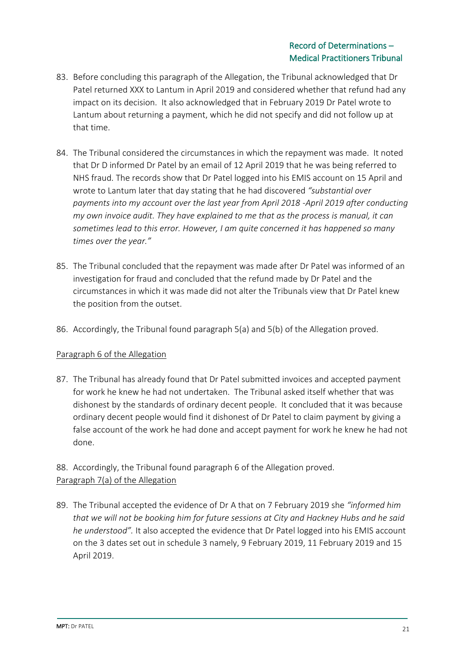- 83. Before concluding this paragraph of the Allegation, the Tribunal acknowledged that Dr Patel returned XXX to Lantum in April 2019 and considered whether that refund had any impact on its decision. It also acknowledged that in February 2019 Dr Patel wrote to Lantum about returning a payment, which he did not specify and did not follow up at that time.
- 84. The Tribunal considered the circumstances in which the repayment was made. It noted that Dr D informed Dr Patel by an email of 12 April 2019 that he was being referred to NHS fraud. The records show that Dr Patel logged into his EMIS account on 15 April and wrote to Lantum later that day stating that he had discovered *"substantial over payments into my account over the last year from April 2018 -April 2019 after conducting my own invoice audit. They have explained to me that as the process is manual, it can sometimes lead to this error. However, I am quite concerned it has happened so many times over the year."*
- 85. The Tribunal concluded that the repayment was made after Dr Patel was informed of an investigation for fraud and concluded that the refund made by Dr Patel and the circumstances in which it was made did not alter the Tribunals view that Dr Patel knew the position from the outset.
- 86. Accordingly, the Tribunal found paragraph 5(a) and 5(b) of the Allegation proved.

## Paragraph 6 of the Allegation

87. The Tribunal has already found that Dr Patel submitted invoices and accepted payment for work he knew he had not undertaken. The Tribunal asked itself whether that was dishonest by the standards of ordinary decent people. It concluded that it was because ordinary decent people would find it dishonest of Dr Patel to claim payment by giving a false account of the work he had done and accept payment for work he knew he had not done.

# 88. Accordingly, the Tribunal found paragraph 6 of the Allegation proved. Paragraph 7(a) of the Allegation

89. The Tribunal accepted the evidence of Dr A that on 7 February 2019 she *"informed him that we will not be booking him for future sessions at City and Hackney Hubs and he said he understood".* It also accepted the evidence that Dr Patel logged into his EMIS account on the 3 dates set out in schedule 3 namely, 9 February 2019, 11 February 2019 and 15 April 2019.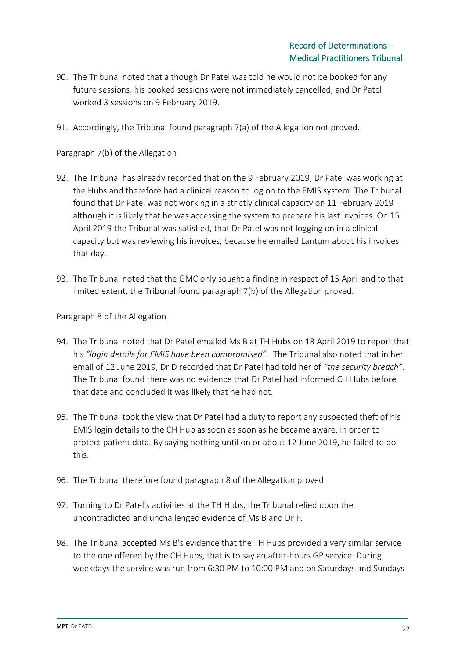- 90. The Tribunal noted that although Dr Patel was told he would not be booked for any future sessions, his booked sessions were not immediately cancelled, and Dr Patel worked 3 sessions on 9 February 2019.
- 91. Accordingly, the Tribunal found paragraph 7(a) of the Allegation not proved.

### Paragraph 7(b) of the Allegation

- 92. The Tribunal has already recorded that on the 9 February 2019, Dr Patel was working at the Hubs and therefore had a clinical reason to log on to the EMIS system. The Tribunal found that Dr Patel was not working in a strictly clinical capacity on 11 February 2019 although it is likely that he was accessing the system to prepare his last invoices. On 15 April 2019 the Tribunal was satisfied, that Dr Patel was not logging on in a clinical capacity but was reviewing his invoices, because he emailed Lantum about his invoices that day.
- 93. The Tribunal noted that the GMC only sought a finding in respect of 15 April and to that limited extent, the Tribunal found paragraph 7(b) of the Allegation proved.

#### Paragraph 8 of the Allegation

- 94. The Tribunal noted that Dr Patel emailed Ms B at TH Hubs on 18 April 2019 to report that his *"login details for EMIS have been compromised".* The Tribunal also noted that in her email of 12 June 2019, Dr D recorded that Dr Patel had told her of *"the security breach"*. The Tribunal found there was no evidence that Dr Patel had informed CH Hubs before that date and concluded it was likely that he had not.
- 95. The Tribunal took the view that Dr Patel had a duty to report any suspected theft of his EMIS login details to the CH Hub as soon as soon as he became aware, in order to protect patient data. By saying nothing until on or about 12 June 2019, he failed to do this.
- 96. The Tribunal therefore found paragraph 8 of the Allegation proved.
- 97. Turning to Dr Patel's activities at the TH Hubs, the Tribunal relied upon the uncontradicted and unchallenged evidence of Ms B and Dr F.
- 98. The Tribunal accepted Ms B's evidence that the TH Hubs provided a very similar service to the one offered by the CH Hubs, that is to say an after-hours GP service. During weekdays the service was run from 6:30 PM to 10:00 PM and on Saturdays and Sundays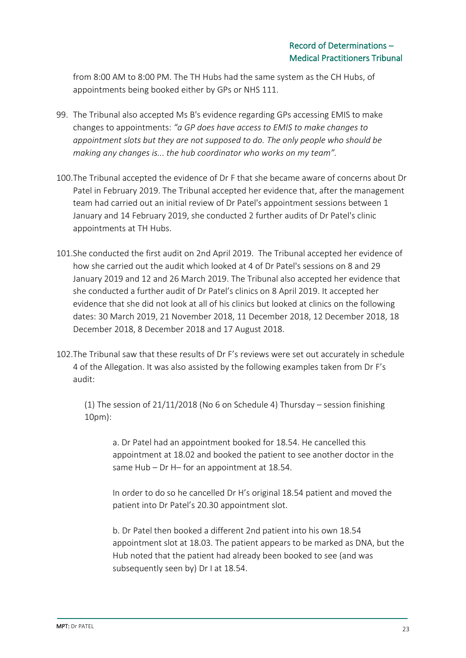from 8:00 AM to 8:00 PM. The TH Hubs had the same system as the CH Hubs, of appointments being booked either by GPs or NHS 111.

- 99. The Tribunal also accepted Ms B's evidence regarding GPs accessing EMIS to make changes to appointments: *"a GP does have access to EMIS to make changes to appointment slots but they are not supposed to do. The only people who should be making any changes is... the hub coordinator who works on my team".*
- 100.The Tribunal accepted the evidence of Dr F that she became aware of concerns about Dr Patel in February 2019. The Tribunal accepted her evidence that, after the management team had carried out an initial review of Dr Patel's appointment sessions between 1 January and 14 February 2019, she conducted 2 further audits of Dr Patel's clinic appointments at TH Hubs.
- 101.She conducted the first audit on 2nd April 2019. The Tribunal accepted her evidence of how she carried out the audit which looked at 4 of Dr Patel's sessions on 8 and 29 January 2019 and 12 and 26 March 2019. The Tribunal also accepted her evidence that she conducted a further audit of Dr Patel's clinics on 8 April 2019. It accepted her evidence that she did not look at all of his clinics but looked at clinics on the following dates: 30 March 2019, 21 November 2018, 11 December 2018, 12 December 2018, 18 December 2018, 8 December 2018 and 17 August 2018.
- 102.The Tribunal saw that these results of Dr F's reviews were set out accurately in schedule 4 of the Allegation. It was also assisted by the following examples taken from Dr F's audit:

(1) The session of 21/11/2018 (No 6 on Schedule 4) Thursday – session finishing 10pm):

a. Dr Patel had an appointment booked for 18.54. He cancelled this appointment at 18.02 and booked the patient to see another doctor in the same Hub – Dr H– for an appointment at 18.54.

In order to do so he cancelled Dr H's original 18.54 patient and moved the patient into Dr Patel's 20.30 appointment slot.

b. Dr Patel then booked a different 2nd patient into his own 18.54 appointment slot at 18.03. The patient appears to be marked as DNA, but the Hub noted that the patient had already been booked to see (and was subsequently seen by) Dr I at 18.54.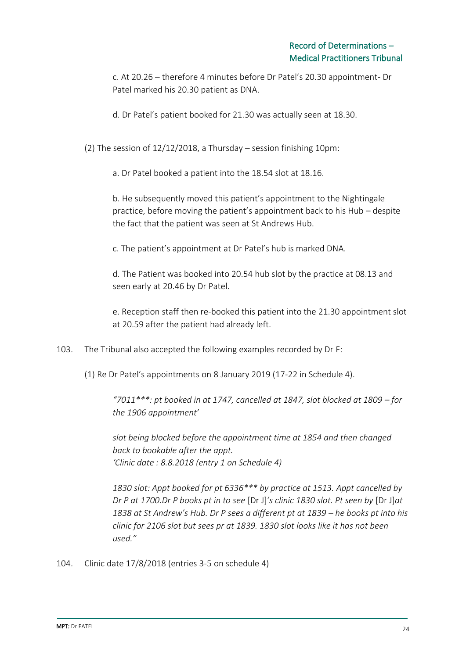c. At 20.26 – therefore 4 minutes before Dr Patel's 20.30 appointment- Dr Patel marked his 20.30 patient as DNA.

d. Dr Patel's patient booked for 21.30 was actually seen at 18.30.

(2) The session of 12/12/2018, a Thursday – session finishing 10pm:

a. Dr Patel booked a patient into the 18.54 slot at 18.16.

b. He subsequently moved this patient's appointment to the Nightingale practice, before moving the patient's appointment back to his Hub – despite the fact that the patient was seen at St Andrews Hub.

c. The patient's appointment at Dr Patel's hub is marked DNA.

d. The Patient was booked into 20.54 hub slot by the practice at 08.13 and seen early at 20.46 by Dr Patel.

e. Reception staff then re-booked this patient into the 21.30 appointment slot at 20.59 after the patient had already left.

103. The Tribunal also accepted the following examples recorded by Dr F:

(1) Re Dr Patel's appointments on 8 January 2019 (17-22 in Schedule 4).

*"7011\*\*\*: pt booked in at 1747, cancelled at 1847, slot blocked at 1809 – for the 1906 appointment'*

*slot being blocked before the appointment time at 1854 and then changed back to bookable after the appt. 'Clinic date : 8.8.2018 (entry 1 on Schedule 4)*

*1830 slot: Appt booked for pt 6336\*\*\* by practice at 1513. Appt cancelled by Dr P at 1700.Dr P books pt in to see* [Dr J]*'s clinic 1830 slot. Pt seen by* [Dr J]*at 1838 at St Andrew's Hub. Dr P sees a different pt at 1839 – he books pt into his clinic for 2106 slot but sees pr at 1839. 1830 slot looks like it has not been used."*

104. Clinic date 17/8/2018 (entries 3-5 on schedule 4)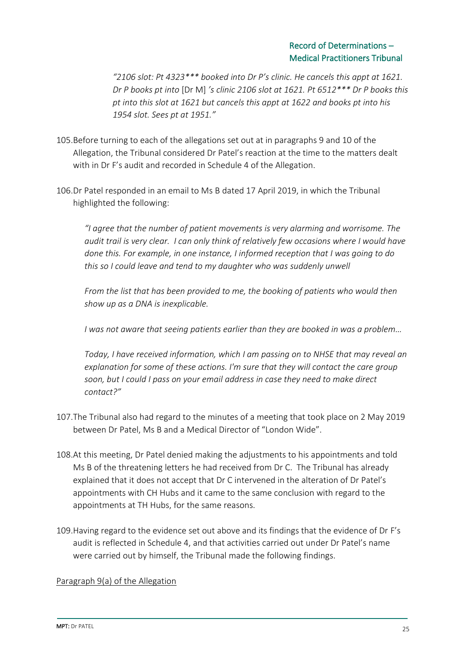*"2106 slot: Pt 4323\*\*\* booked into Dr P's clinic. He cancels this appt at 1621. Dr P books pt into* [Dr M] *'s clinic 2106 slot at 1621. Pt 6512\*\*\* Dr P books this pt into this slot at 1621 but cancels this appt at 1622 and books pt into his 1954 slot. Sees pt at 1951."*

- 105.Before turning to each of the allegations set out at in paragraphs 9 and 10 of the Allegation, the Tribunal considered Dr Patel's reaction at the time to the matters dealt with in Dr F's audit and recorded in Schedule 4 of the Allegation.
- 106.Dr Patel responded in an email to Ms B dated 17 April 2019, in which the Tribunal highlighted the following:

*"I agree that the number of patient movements is very alarming and worrisome. The audit trail is very clear. I can only think of relatively few occasions where I would have done this. For example, in one instance, I informed reception that I was going to do this so I could leave and tend to my daughter who was suddenly unwell*

*From the list that has been provided to me, the booking of patients who would then show up as a DNA is inexplicable.* 

*I was not aware that seeing patients earlier than they are booked in was a problem…*

*Today, I have received information, which I am passing on to NHSE that may reveal an explanation for some of these actions. I'm sure that they will contact the care group soon, but I could I pass on your email address in case they need to make direct contact?"*

- 107.The Tribunal also had regard to the minutes of a meeting that took place on 2 May 2019 between Dr Patel, Ms B and a Medical Director of "London Wide".
- 108.At this meeting, Dr Patel denied making the adjustments to his appointments and told Ms B of the threatening letters he had received from Dr C. The Tribunal has already explained that it does not accept that Dr C intervened in the alteration of Dr Patel's appointments with CH Hubs and it came to the same conclusion with regard to the appointments at TH Hubs, for the same reasons.
- 109.Having regard to the evidence set out above and its findings that the evidence of Dr F's audit is reflected in Schedule 4, and that activities carried out under Dr Patel's name were carried out by himself, the Tribunal made the following findings.

#### Paragraph 9(a) of the Allegation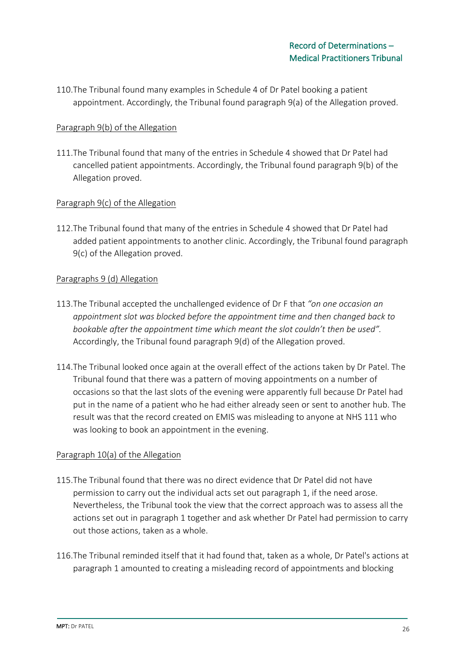110.The Tribunal found many examples in Schedule 4 of Dr Patel booking a patient appointment. Accordingly, the Tribunal found paragraph 9(a) of the Allegation proved.

### Paragraph 9(b) of the Allegation

111.The Tribunal found that many of the entries in Schedule 4 showed that Dr Patel had cancelled patient appointments. Accordingly, the Tribunal found paragraph 9(b) of the Allegation proved.

## Paragraph 9(c) of the Allegation

112.The Tribunal found that many of the entries in Schedule 4 showed that Dr Patel had added patient appointments to another clinic. Accordingly, the Tribunal found paragraph 9(c) of the Allegation proved.

### Paragraphs 9 (d) Allegation

- 113.The Tribunal accepted the unchallenged evidence of Dr F that *"on one occasion an appointment slot was blocked before the appointment time and then changed back to bookable after the appointment time which meant the slot couldn't then be used".* Accordingly, the Tribunal found paragraph 9(d) of the Allegation proved.
- 114.The Tribunal looked once again at the overall effect of the actions taken by Dr Patel. The Tribunal found that there was a pattern of moving appointments on a number of occasions so that the last slots of the evening were apparently full because Dr Patel had put in the name of a patient who he had either already seen or sent to another hub. The result was that the record created on EMIS was misleading to anyone at NHS 111 who was looking to book an appointment in the evening.

### Paragraph 10(a) of the Allegation

- 115.The Tribunal found that there was no direct evidence that Dr Patel did not have permission to carry out the individual acts set out paragraph 1, if the need arose. Nevertheless, the Tribunal took the view that the correct approach was to assess all the actions set out in paragraph 1 together and ask whether Dr Patel had permission to carry out those actions, taken as a whole.
- 116.The Tribunal reminded itself that it had found that, taken as a whole, Dr Patel's actions at paragraph 1 amounted to creating a misleading record of appointments and blocking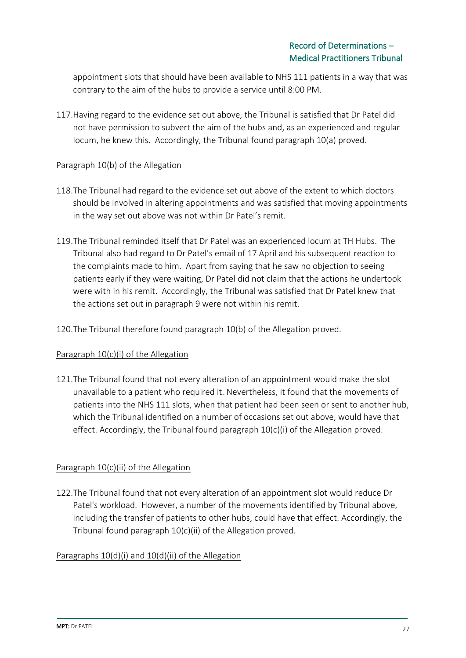appointment slots that should have been available to NHS 111 patients in a way that was contrary to the aim of the hubs to provide a service until 8:00 PM.

117.Having regard to the evidence set out above, the Tribunal is satisfied that Dr Patel did not have permission to subvert the aim of the hubs and, as an experienced and regular locum, he knew this. Accordingly, the Tribunal found paragraph 10(a) proved.

### Paragraph 10(b) of the Allegation

- 118.The Tribunal had regard to the evidence set out above of the extent to which doctors should be involved in altering appointments and was satisfied that moving appointments in the way set out above was not within Dr Patel's remit.
- 119.The Tribunal reminded itself that Dr Patel was an experienced locum at TH Hubs. The Tribunal also had regard to Dr Patel's email of 17 April and his subsequent reaction to the complaints made to him. Apart from saying that he saw no objection to seeing patients early if they were waiting, Dr Patel did not claim that the actions he undertook were with in his remit. Accordingly, the Tribunal was satisfied that Dr Patel knew that the actions set out in paragraph 9 were not within his remit.
- 120.The Tribunal therefore found paragraph 10(b) of the Allegation proved.

## Paragraph 10(c)(i) of the Allegation

121.The Tribunal found that not every alteration of an appointment would make the slot unavailable to a patient who required it. Nevertheless, it found that the movements of patients into the NHS 111 slots, when that patient had been seen or sent to another hub, which the Tribunal identified on a number of occasions set out above, would have that effect. Accordingly, the Tribunal found paragraph 10(c)(i) of the Allegation proved.

## Paragraph 10(c)(ii) of the Allegation

122.The Tribunal found that not every alteration of an appointment slot would reduce Dr Patel's workload. However, a number of the movements identified by Tribunal above, including the transfer of patients to other hubs, could have that effect. Accordingly, the Tribunal found paragraph 10(c)(ii) of the Allegation proved.

## Paragraphs 10(d)(i) and 10(d)(ii) of the Allegation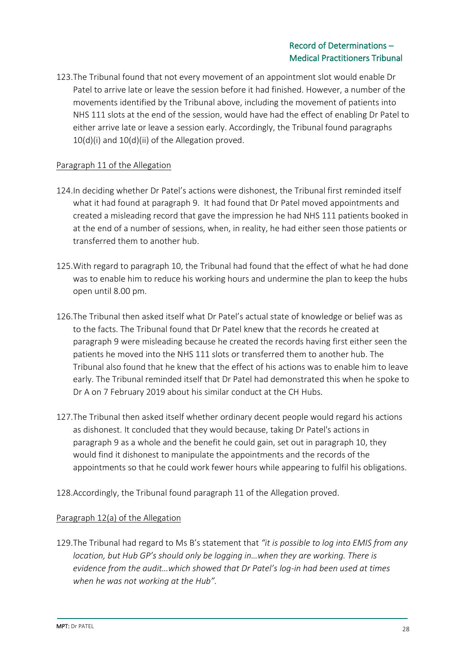123.The Tribunal found that not every movement of an appointment slot would enable Dr Patel to arrive late or leave the session before it had finished. However, a number of the movements identified by the Tribunal above, including the movement of patients into NHS 111 slots at the end of the session, would have had the effect of enabling Dr Patel to either arrive late or leave a session early. Accordingly, the Tribunal found paragraphs 10(d)(i) and 10(d)(ii) of the Allegation proved.

### Paragraph 11 of the Allegation

- 124.In deciding whether Dr Patel's actions were dishonest, the Tribunal first reminded itself what it had found at paragraph 9. It had found that Dr Patel moved appointments and created a misleading record that gave the impression he had NHS 111 patients booked in at the end of a number of sessions, when, in reality, he had either seen those patients or transferred them to another hub.
- 125.With regard to paragraph 10, the Tribunal had found that the effect of what he had done was to enable him to reduce his working hours and undermine the plan to keep the hubs open until 8.00 pm.
- 126.The Tribunal then asked itself what Dr Patel's actual state of knowledge or belief was as to the facts. The Tribunal found that Dr Patel knew that the records he created at paragraph 9 were misleading because he created the records having first either seen the patients he moved into the NHS 111 slots or transferred them to another hub. The Tribunal also found that he knew that the effect of his actions was to enable him to leave early. The Tribunal reminded itself that Dr Patel had demonstrated this when he spoke to Dr A on 7 February 2019 about his similar conduct at the CH Hubs.
- 127.The Tribunal then asked itself whether ordinary decent people would regard his actions as dishonest. It concluded that they would because, taking Dr Patel's actions in paragraph 9 as a whole and the benefit he could gain, set out in paragraph 10, they would find it dishonest to manipulate the appointments and the records of the appointments so that he could work fewer hours while appearing to fulfil his obligations.
- 128.Accordingly, the Tribunal found paragraph 11 of the Allegation proved.

### Paragraph 12(a) of the Allegation

129.The Tribunal had regard to Ms B's statement that *"it is possible to log into EMIS from any location, but Hub GP's should only be logging in…when they are working. There is evidence from the audit…which showed that Dr Patel's log-in had been used at times when he was not working at the Hub".*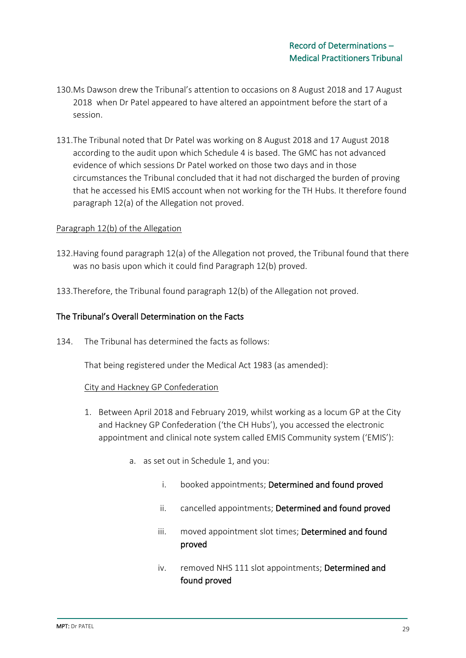- 130.Ms Dawson drew the Tribunal's attention to occasions on 8 August 2018 and 17 August 2018 when Dr Patel appeared to have altered an appointment before the start of a session.
- 131.The Tribunal noted that Dr Patel was working on 8 August 2018 and 17 August 2018 according to the audit upon which Schedule 4 is based. The GMC has not advanced evidence of which sessions Dr Patel worked on those two days and in those circumstances the Tribunal concluded that it had not discharged the burden of proving that he accessed his EMIS account when not working for the TH Hubs. It therefore found paragraph 12(a) of the Allegation not proved.

#### Paragraph 12(b) of the Allegation

- 132.Having found paragraph 12(a) of the Allegation not proved, the Tribunal found that there was no basis upon which it could find Paragraph 12(b) proved.
- 133.Therefore, the Tribunal found paragraph 12(b) of the Allegation not proved.

#### The Tribunal's Overall Determination on the Facts

134. The Tribunal has determined the facts as follows:

That being registered under the Medical Act 1983 (as amended):

#### City and Hackney GP Confederation

- 1. Between April 2018 and February 2019, whilst working as a locum GP at the City and Hackney GP Confederation ('the CH Hubs'), you accessed the electronic appointment and clinical note system called EMIS Community system ('EMIS'):
	- a. as set out in Schedule 1, and you:
		- i. booked appointments; Determined and found proved
		- ii. cancelled appointments; Determined and found proved
		- iii. moved appointment slot times; Determined and found proved
		- iv. removed NHS 111 slot appointments; Determined and found proved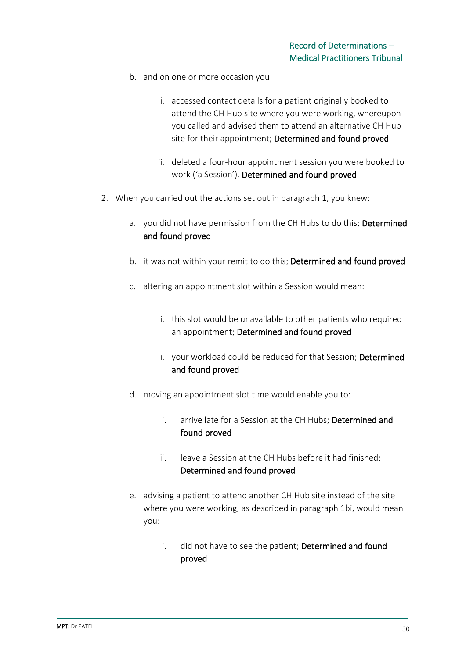- b. and on one or more occasion you:
	- i. accessed contact details for a patient originally booked to attend the CH Hub site where you were working, whereupon you called and advised them to attend an alternative CH Hub site for their appointment; Determined and found proved
	- ii. deleted a four-hour appointment session you were booked to work ('a Session'). Determined and found proved
- 2. When you carried out the actions set out in paragraph 1, you knew:
	- a. you did not have permission from the CH Hubs to do this; Determined and found proved
	- b. it was not within your remit to do this; Determined and found proved
	- c. altering an appointment slot within a Session would mean:
		- i. this slot would be unavailable to other patients who required an appointment; Determined and found proved
		- ii. your workload could be reduced for that Session; Determined and found proved
	- d. moving an appointment slot time would enable you to:
		- i. arrive late for a Session at the CH Hubs; Determined and found proved
		- ii. leave a Session at the CH Hubs before it had finished; Determined and found proved
	- e. advising a patient to attend another CH Hub site instead of the site where you were working, as described in paragraph 1bi, would mean you:
		- i. did not have to see the patient; Determined and found proved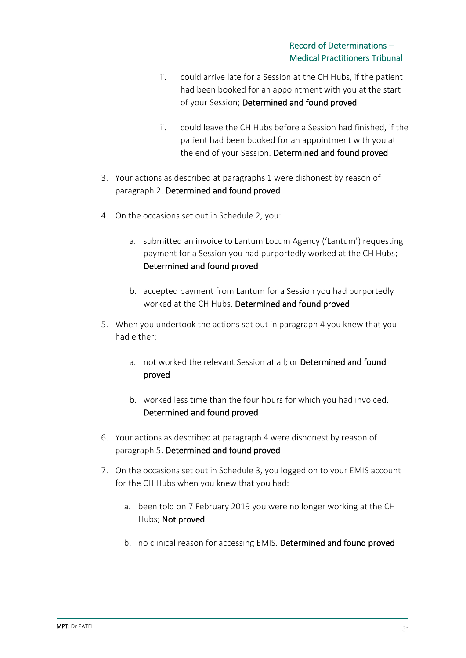- ii. could arrive late for a Session at the CH Hubs, if the patient had been booked for an appointment with you at the start of your Session; Determined and found proved
- iii. could leave the CH Hubs before a Session had finished, if the patient had been booked for an appointment with you at the end of your Session. Determined and found proved
- 3. Your actions as described at paragraphs 1 were dishonest by reason of paragraph 2. Determined and found proved
- 4. On the occasions set out in Schedule 2, you:
	- a. submitted an invoice to Lantum Locum Agency ('Lantum') requesting payment for a Session you had purportedly worked at the CH Hubs; Determined and found proved
	- b. accepted payment from Lantum for a Session you had purportedly worked at the CH Hubs. Determined and found proved
- 5. When you undertook the actions set out in paragraph 4 you knew that you had either:
	- a. not worked the relevant Session at all; or Determined and found proved
	- b. worked less time than the four hours for which you had invoiced. Determined and found proved
- 6. Your actions as described at paragraph 4 were dishonest by reason of paragraph 5. Determined and found proved
- 7. On the occasions set out in Schedule 3, you logged on to your EMIS account for the CH Hubs when you knew that you had:
	- a. been told on 7 February 2019 you were no longer working at the CH Hubs; Not proved
	- b. no clinical reason for accessing EMIS. Determined and found proved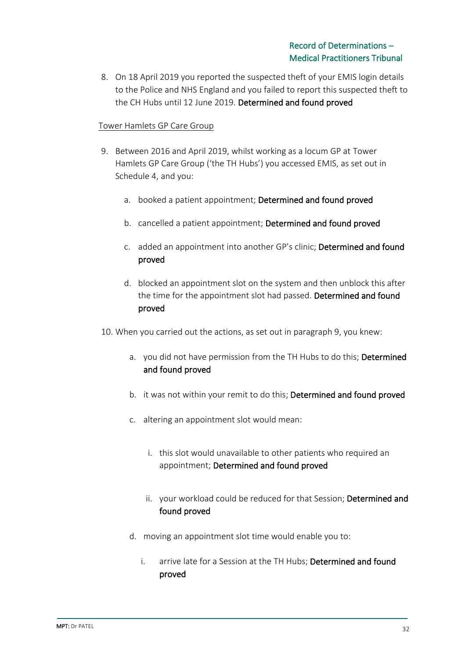8. On 18 April 2019 you reported the suspected theft of your EMIS login details to the Police and NHS England and you failed to report this suspected theft to the CH Hubs until 12 June 2019. Determined and found proved

#### Tower Hamlets GP Care Group

- 9. Between 2016 and April 2019, whilst working as a locum GP at Tower Hamlets GP Care Group ('the TH Hubs') you accessed EMIS, as set out in Schedule 4, and you:
	- a. booked a patient appointment; Determined and found proved
	- b. cancelled a patient appointment; Determined and found proved
	- c. added an appointment into another GP's clinic; Determined and found proved
	- d. blocked an appointment slot on the system and then unblock this after the time for the appointment slot had passed. Determined and found proved
- 10. When you carried out the actions, as set out in paragraph 9, you knew:
	- a. you did not have permission from the TH Hubs to do this; Determined and found proved
	- b. it was not within your remit to do this; Determined and found proved
	- c. altering an appointment slot would mean:
		- i. this slot would unavailable to other patients who required an appointment; Determined and found proved
		- ii. your workload could be reduced for that Session; Determined and found proved
	- d. moving an appointment slot time would enable you to:
		- i. arrive late for a Session at the TH Hubs; Determined and found proved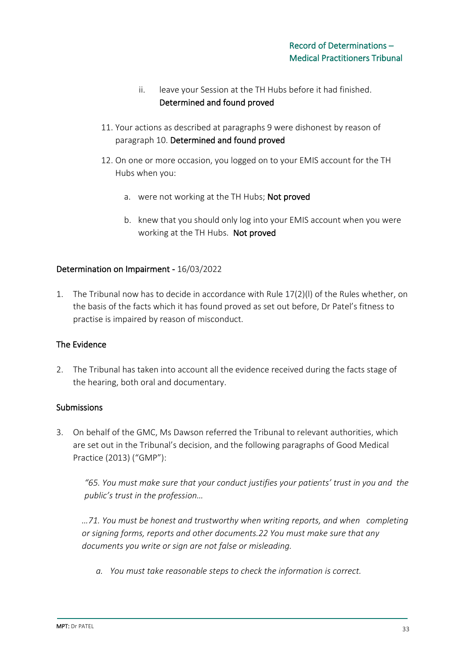- ii. leave your Session at the TH Hubs before it had finished. Determined and found proved
- 11. Your actions as described at paragraphs 9 were dishonest by reason of paragraph 10. Determined and found proved
- 12. On one or more occasion, you logged on to your EMIS account for the TH Hubs when you:
	- a. were not working at the TH Hubs; **Not proved**
	- b. knew that you should only log into your EMIS account when you were working at the TH Hubs. Not proved

### Determination on Impairment - 16/03/2022

1. The Tribunal now has to decide in accordance with Rule 17(2)(l) of the Rules whether, on the basis of the facts which it has found proved as set out before, Dr Patel's fitness to practise is impaired by reason of misconduct.

### The Evidence

2. The Tribunal has taken into account all the evidence received during the facts stage of the hearing, both oral and documentary.

#### **Submissions**

3. On behalf of the GMC, Ms Dawson referred the Tribunal to relevant authorities, which are set out in the Tribunal's decision, and the following paragraphs of Good Medical Practice (2013) ("GMP"):

*"65. You must make sure that your conduct justifies your patients' trust in you and the public's trust in the profession…*

*…71. You must be honest and trustworthy when writing reports, and when completing or signing forms, reports and other documents.22 You must make sure that any documents you write or sign are not false or misleading.*

*a. You must take reasonable steps to check the information is correct.*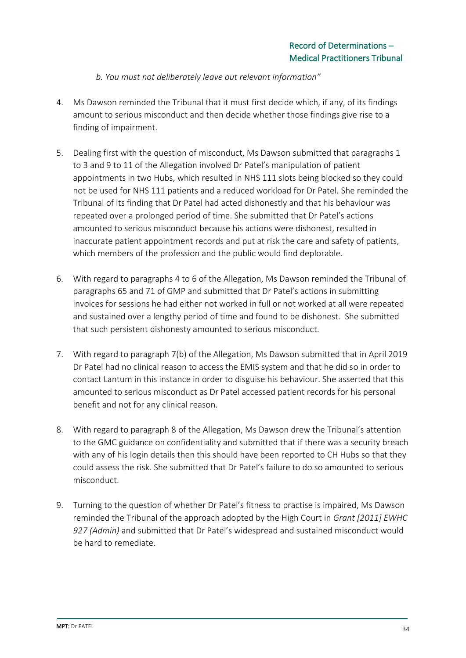- *b. You must not deliberately leave out relevant information"*
- 4. Ms Dawson reminded the Tribunal that it must first decide which, if any, of its findings amount to serious misconduct and then decide whether those findings give rise to a finding of impairment.
- 5. Dealing first with the question of misconduct, Ms Dawson submitted that paragraphs 1 to 3 and 9 to 11 of the Allegation involved Dr Patel's manipulation of patient appointments in two Hubs, which resulted in NHS 111 slots being blocked so they could not be used for NHS 111 patients and a reduced workload for Dr Patel. She reminded the Tribunal of its finding that Dr Patel had acted dishonestly and that his behaviour was repeated over a prolonged period of time. She submitted that Dr Patel's actions amounted to serious misconduct because his actions were dishonest, resulted in inaccurate patient appointment records and put at risk the care and safety of patients, which members of the profession and the public would find deplorable.
- 6. With regard to paragraphs 4 to 6 of the Allegation, Ms Dawson reminded the Tribunal of paragraphs 65 and 71 of GMP and submitted that Dr Patel's actions in submitting invoices for sessions he had either not worked in full or not worked at all were repeated and sustained over a lengthy period of time and found to be dishonest. She submitted that such persistent dishonesty amounted to serious misconduct.
- 7. With regard to paragraph 7(b) of the Allegation, Ms Dawson submitted that in April 2019 Dr Patel had no clinical reason to access the EMIS system and that he did so in order to contact Lantum in this instance in order to disguise his behaviour. She asserted that this amounted to serious misconduct as Dr Patel accessed patient records for his personal benefit and not for any clinical reason.
- 8. With regard to paragraph 8 of the Allegation, Ms Dawson drew the Tribunal's attention to the GMC guidance on confidentiality and submitted that if there was a security breach with any of his login details then this should have been reported to CH Hubs so that they could assess the risk. She submitted that Dr Patel's failure to do so amounted to serious misconduct.
- 9. Turning to the question of whether Dr Patel's fitness to practise is impaired, Ms Dawson reminded the Tribunal of the approach adopted by the High Court in *Grant [2011] EWHC 927 (Admin)* and submitted that Dr Patel's widespread and sustained misconduct would be hard to remediate.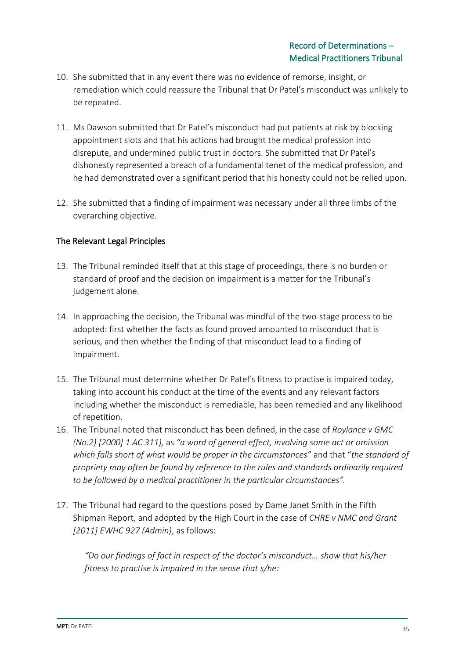- 10. She submitted that in any event there was no evidence of remorse, insight, or remediation which could reassure the Tribunal that Dr Patel's misconduct was unlikely to be repeated.
- 11. Ms Dawson submitted that Dr Patel's misconduct had put patients at risk by blocking appointment slots and that his actions had brought the medical profession into disrepute, and undermined public trust in doctors. She submitted that Dr Patel's dishonesty represented a breach of a fundamental tenet of the medical profession, and he had demonstrated over a significant period that his honesty could not be relied upon.
- 12. She submitted that a finding of impairment was necessary under all three limbs of the overarching objective.

## The Relevant Legal Principles

- 13. The Tribunal reminded itself that at this stage of proceedings, there is no burden or standard of proof and the decision on impairment is a matter for the Tribunal's judgement alone.
- 14. In approaching the decision, the Tribunal was mindful of the two-stage process to be adopted: first whether the facts as found proved amounted to misconduct that is serious, and then whether the finding of that misconduct lead to a finding of impairment.
- 15. The Tribunal must determine whether Dr Patel's fitness to practise is impaired today, taking into account his conduct at the time of the events and any relevant factors including whether the misconduct is remediable, has been remedied and any likelihood of repetition.
- 16. The Tribunal noted that misconduct has been defined, in the case of *Roylance v GMC (No.2) [2000] 1 AC 311),* as *"a word of general effect, involving some act or omission which falls short of what would be proper in the circumstances"* and that "*the standard of propriety may often be found by reference to the rules and standards ordinarily required to be followed by a medical practitioner in the particular circumstances".*
- 17. The Tribunal had regard to the questions posed by Dame Janet Smith in the Fifth Shipman Report, and adopted by the High Court in the case of *CHRE v NMC and Grant [2011] EWHC 927 (Admin)*, as follows:

*"Do our findings of fact in respect of the doctor's misconduct… show that his/her fitness to practise is impaired in the sense that s/he:*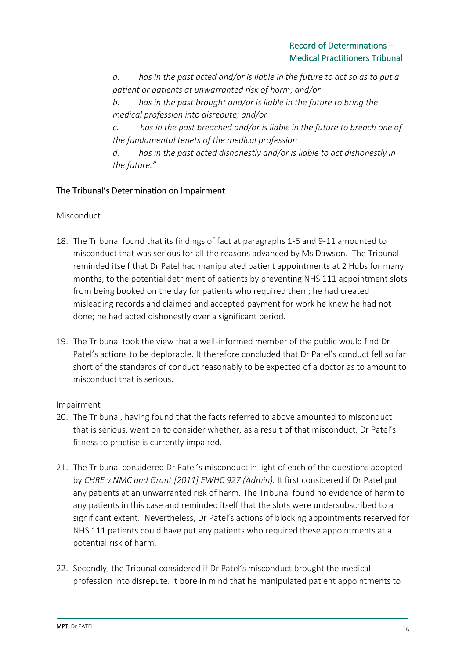*a. has in the past acted and/or is liable in the future to act so as to put a patient or patients at unwarranted risk of harm; and/or*

*b. has in the past brought and/or is liable in the future to bring the medical profession into disrepute; and/or*

*c. has in the past breached and/or is liable in the future to breach one of the fundamental tenets of the medical profession*

*d. has in the past acted dishonestly and/or is liable to act dishonestly in the future."*

## The Tribunal's Determination on Impairment

## Misconduct

- 18. The Tribunal found that its findings of fact at paragraphs 1-6 and 9-11 amounted to misconduct that was serious for all the reasons advanced by Ms Dawson. The Tribunal reminded itself that Dr Patel had manipulated patient appointments at 2 Hubs for many months, to the potential detriment of patients by preventing NHS 111 appointment slots from being booked on the day for patients who required them; he had created misleading records and claimed and accepted payment for work he knew he had not done; he had acted dishonestly over a significant period.
- 19. The Tribunal took the view that a well-informed member of the public would find Dr Patel's actions to be deplorable. It therefore concluded that Dr Patel's conduct fell so far short of the standards of conduct reasonably to be expected of a doctor as to amount to misconduct that is serious.

### **Impairment**

- 20. The Tribunal, having found that the facts referred to above amounted to misconduct that is serious, went on to consider whether, as a result of that misconduct, Dr Patel's fitness to practise is currently impaired.
- 21. The Tribunal considered Dr Patel's misconduct in light of each of the questions adopted by *CHRE v NMC and Grant [2011] EWHC 927 (Admin).* It first considered if Dr Patel put any patients at an unwarranted risk of harm. The Tribunal found no evidence of harm to any patients in this case and reminded itself that the slots were undersubscribed to a significant extent. Nevertheless, Dr Patel's actions of blocking appointments reserved for NHS 111 patients could have put any patients who required these appointments at a potential risk of harm.
- 22. Secondly, the Tribunal considered if Dr Patel's misconduct brought the medical profession into disrepute. It bore in mind that he manipulated patient appointments to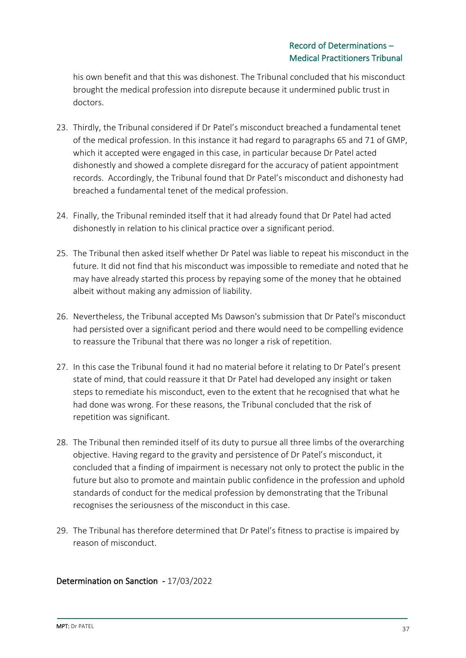his own benefit and that this was dishonest. The Tribunal concluded that his misconduct brought the medical profession into disrepute because it undermined public trust in doctors.

- 23. Thirdly, the Tribunal considered if Dr Patel's misconduct breached a fundamental tenet of the medical profession. In this instance it had regard to paragraphs 65 and 71 of GMP, which it accepted were engaged in this case, in particular because Dr Patel acted dishonestly and showed a complete disregard for the accuracy of patient appointment records. Accordingly, the Tribunal found that Dr Patel's misconduct and dishonesty had breached a fundamental tenet of the medical profession.
- 24. Finally, the Tribunal reminded itself that it had already found that Dr Patel had acted dishonestly in relation to his clinical practice over a significant period.
- 25. The Tribunal then asked itself whether Dr Patel was liable to repeat his misconduct in the future. It did not find that his misconduct was impossible to remediate and noted that he may have already started this process by repaying some of the money that he obtained albeit without making any admission of liability.
- 26. Nevertheless, the Tribunal accepted Ms Dawson's submission that Dr Patel's misconduct had persisted over a significant period and there would need to be compelling evidence to reassure the Tribunal that there was no longer a risk of repetition.
- 27. In this case the Tribunal found it had no material before it relating to Dr Patel's present state of mind, that could reassure it that Dr Patel had developed any insight or taken steps to remediate his misconduct, even to the extent that he recognised that what he had done was wrong. For these reasons, the Tribunal concluded that the risk of repetition was significant.
- 28. The Tribunal then reminded itself of its duty to pursue all three limbs of the overarching objective. Having regard to the gravity and persistence of Dr Patel's misconduct, it concluded that a finding of impairment is necessary not only to protect the public in the future but also to promote and maintain public confidence in the profession and uphold standards of conduct for the medical profession by demonstrating that the Tribunal recognises the seriousness of the misconduct in this case.
- 29. The Tribunal has therefore determined that Dr Patel's fitness to practise is impaired by reason of misconduct.

### Determination on Sanction - 17/03/2022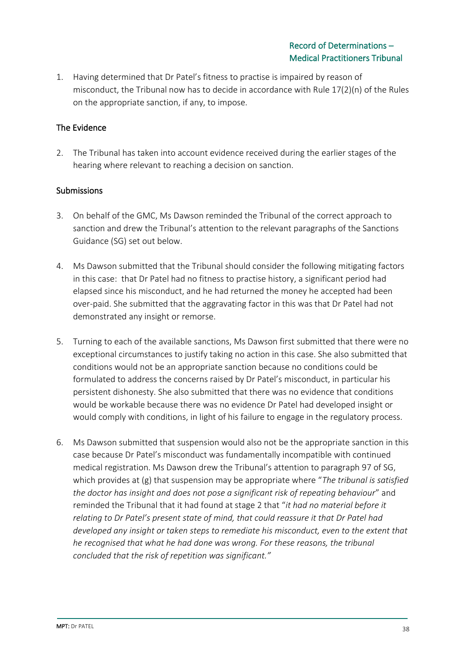1. Having determined that Dr Patel's fitness to practise is impaired by reason of misconduct, the Tribunal now has to decide in accordance with Rule 17(2)(n) of the Rules on the appropriate sanction, if any, to impose.

### The Evidence

2. The Tribunal has taken into account evidence received during the earlier stages of the hearing where relevant to reaching a decision on sanction.

## **Submissions**

- 3. On behalf of the GMC, Ms Dawson reminded the Tribunal of the correct approach to sanction and drew the Tribunal's attention to the relevant paragraphs of the Sanctions Guidance (SG) set out below.
- 4. Ms Dawson submitted that the Tribunal should consider the following mitigating factors in this case: that Dr Patel had no fitness to practise history, a significant period had elapsed since his misconduct, and he had returned the money he accepted had been over-paid. She submitted that the aggravating factor in this was that Dr Patel had not demonstrated any insight or remorse.
- 5. Turning to each of the available sanctions, Ms Dawson first submitted that there were no exceptional circumstances to justify taking no action in this case. She also submitted that conditions would not be an appropriate sanction because no conditions could be formulated to address the concerns raised by Dr Patel's misconduct, in particular his persistent dishonesty. She also submitted that there was no evidence that conditions would be workable because there was no evidence Dr Patel had developed insight or would comply with conditions, in light of his failure to engage in the regulatory process.
- 6. Ms Dawson submitted that suspension would also not be the appropriate sanction in this case because Dr Patel's misconduct was fundamentally incompatible with continued medical registration. Ms Dawson drew the Tribunal's attention to paragraph 97 of SG, which provides at (g) that suspension may be appropriate where "*The tribunal is satisfied the doctor has insight and does not pose a significant risk of repeating behaviour*" and reminded the Tribunal that it had found at stage 2 that "*it had no material before it relating to Dr Patel's present state of mind, that could reassure it that Dr Patel had developed any insight or taken steps to remediate his misconduct, even to the extent that he recognised that what he had done was wrong. For these reasons, the tribunal concluded that the risk of repetition was significant."*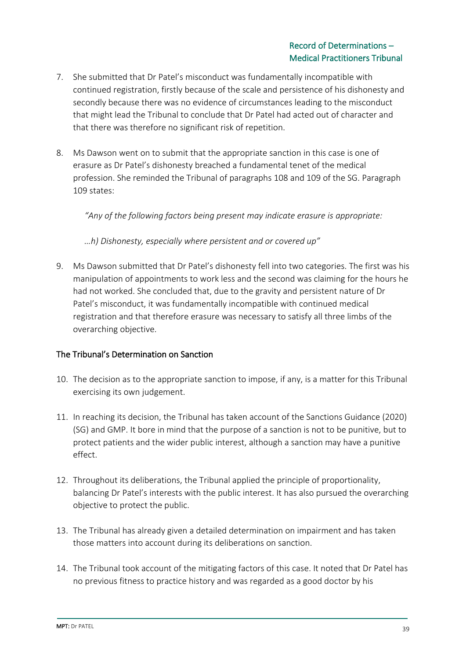- 7. She submitted that Dr Patel's misconduct was fundamentally incompatible with continued registration, firstly because of the scale and persistence of his dishonesty and secondly because there was no evidence of circumstances leading to the misconduct that might lead the Tribunal to conclude that Dr Patel had acted out of character and that there was therefore no significant risk of repetition.
- 8. Ms Dawson went on to submit that the appropriate sanction in this case is one of erasure as Dr Patel's dishonesty breached a fundamental tenet of the medical profession. She reminded the Tribunal of paragraphs 108 and 109 of the SG. Paragraph 109 states:

*"Any of the following factors being present may indicate erasure is appropriate:*

*…h) Dishonesty, especially where persistent and or covered up"*

9. Ms Dawson submitted that Dr Patel's dishonesty fell into two categories. The first was his manipulation of appointments to work less and the second was claiming for the hours he had not worked. She concluded that, due to the gravity and persistent nature of Dr Patel's misconduct, it was fundamentally incompatible with continued medical registration and that therefore erasure was necessary to satisfy all three limbs of the overarching objective.

## The Tribunal's Determination on Sanction

- 10. The decision as to the appropriate sanction to impose, if any, is a matter for this Tribunal exercising its own judgement.
- 11. In reaching its decision, the Tribunal has taken account of the Sanctions Guidance (2020) (SG) and GMP. It bore in mind that the purpose of a sanction is not to be punitive, but to protect patients and the wider public interest, although a sanction may have a punitive effect.
- 12. Throughout its deliberations, the Tribunal applied the principle of proportionality, balancing Dr Patel's interests with the public interest. It has also pursued the overarching objective to protect the public.
- 13. The Tribunal has already given a detailed determination on impairment and has taken those matters into account during its deliberations on sanction.
- 14. The Tribunal took account of the mitigating factors of this case. It noted that Dr Patel has no previous fitness to practice history and was regarded as a good doctor by his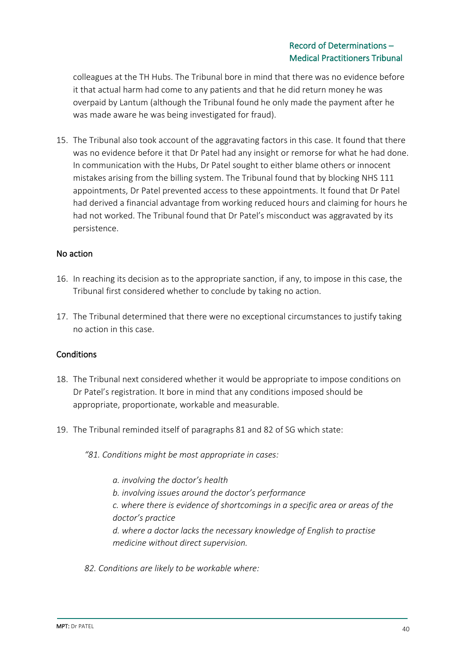colleagues at the TH Hubs. The Tribunal bore in mind that there was no evidence before it that actual harm had come to any patients and that he did return money he was overpaid by Lantum (although the Tribunal found he only made the payment after he was made aware he was being investigated for fraud).

15. The Tribunal also took account of the aggravating factors in this case. It found that there was no evidence before it that Dr Patel had any insight or remorse for what he had done. In communication with the Hubs, Dr Patel sought to either blame others or innocent mistakes arising from the billing system. The Tribunal found that by blocking NHS 111 appointments, Dr Patel prevented access to these appointments. It found that Dr Patel had derived a financial advantage from working reduced hours and claiming for hours he had not worked. The Tribunal found that Dr Patel's misconduct was aggravated by its persistence.

### No action

- 16. In reaching its decision as to the appropriate sanction, if any, to impose in this case, the Tribunal first considered whether to conclude by taking no action.
- 17. The Tribunal determined that there were no exceptional circumstances to justify taking no action in this case.

### **Conditions**

- 18. The Tribunal next considered whether it would be appropriate to impose conditions on Dr Patel's registration. It bore in mind that any conditions imposed should be appropriate, proportionate, workable and measurable.
- 19. The Tribunal reminded itself of paragraphs 81 and 82 of SG which state:

*"81. Conditions might be most appropriate in cases:*

*a. involving the doctor's health b. involving issues around the doctor's performance c. where there is evidence of shortcomings in a specific area or areas of the doctor's practice d. where a doctor lacks the necessary knowledge of English to practise medicine without direct supervision.*

*82. Conditions are likely to be workable where:*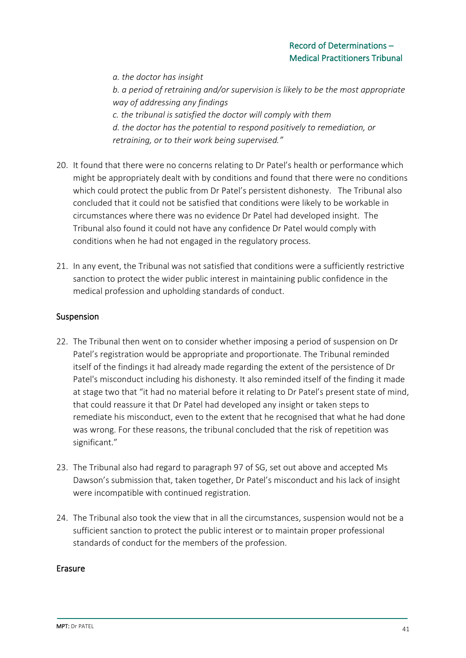*a. the doctor has insight b. a period of retraining and/or supervision is likely to be the most appropriate way of addressing any findings c. the tribunal is satisfied the doctor will comply with them d. the doctor has the potential to respond positively to remediation, or retraining, or to their work being supervised."*

- 20. It found that there were no concerns relating to Dr Patel's health or performance which might be appropriately dealt with by conditions and found that there were no conditions which could protect the public from Dr Patel's persistent dishonesty. The Tribunal also concluded that it could not be satisfied that conditions were likely to be workable in circumstances where there was no evidence Dr Patel had developed insight. The Tribunal also found it could not have any confidence Dr Patel would comply with conditions when he had not engaged in the regulatory process.
- 21. In any event, the Tribunal was not satisfied that conditions were a sufficiently restrictive sanction to protect the wider public interest in maintaining public confidence in the medical profession and upholding standards of conduct.

## Suspension

- 22. The Tribunal then went on to consider whether imposing a period of suspension on Dr Patel's registration would be appropriate and proportionate. The Tribunal reminded itself of the findings it had already made regarding the extent of the persistence of Dr Patel's misconduct including his dishonesty. It also reminded itself of the finding it made at stage two that "it had no material before it relating to Dr Patel's present state of mind, that could reassure it that Dr Patel had developed any insight or taken steps to remediate his misconduct, even to the extent that he recognised that what he had done was wrong. For these reasons, the tribunal concluded that the risk of repetition was significant."
- 23. The Tribunal also had regard to paragraph 97 of SG, set out above and accepted Ms Dawson's submission that, taken together, Dr Patel's misconduct and his lack of insight were incompatible with continued registration.
- 24. The Tribunal also took the view that in all the circumstances, suspension would not be a sufficient sanction to protect the public interest or to maintain proper professional standards of conduct for the members of the profession.

### Erasure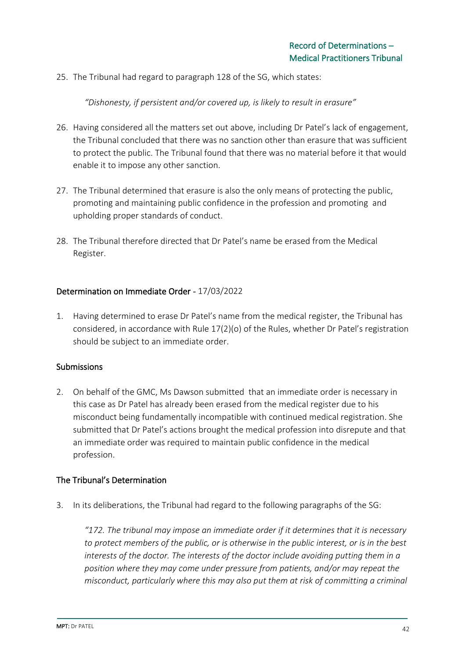25. The Tribunal had regard to paragraph 128 of the SG, which states:

*"Dishonesty, if persistent and/or covered up, is likely to result in erasure"*

- 26. Having considered all the matters set out above, including Dr Patel's lack of engagement, the Tribunal concluded that there was no sanction other than erasure that was sufficient to protect the public. The Tribunal found that there was no material before it that would enable it to impose any other sanction.
- 27. The Tribunal determined that erasure is also the only means of protecting the public, promoting and maintaining public confidence in the profession and promoting and upholding proper standards of conduct.
- 28. The Tribunal therefore directed that Dr Patel's name be erased from the Medical Register.

#### Determination on Immediate Order - 17/03/2022

1. Having determined to erase Dr Patel's name from the medical register, the Tribunal has considered, in accordance with Rule 17(2)(o) of the Rules, whether Dr Patel's registration should be subject to an immediate order.

#### Submissions

2. On behalf of the GMC, Ms Dawson submitted that an immediate order is necessary in this case as Dr Patel has already been erased from the medical register due to his misconduct being fundamentally incompatible with continued medical registration. She submitted that Dr Patel's actions brought the medical profession into disrepute and that an immediate order was required to maintain public confidence in the medical profession.

### The Tribunal's Determination

3. In its deliberations, the Tribunal had regard to the following paragraphs of the SG:

*"172. The tribunal may impose an immediate order if it determines that it is necessary to protect members of the public, or is otherwise in the public interest, or is in the best interests of the doctor. The interests of the doctor include avoiding putting them in a position where they may come under pressure from patients, and/or may repeat the misconduct, particularly where this may also put them at risk of committing a criminal*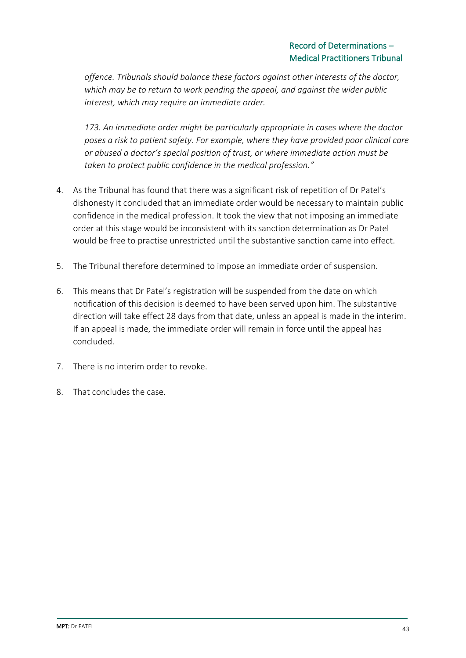*offence. Tribunals should balance these factors against other interests of the doctor, which may be to return to work pending the appeal, and against the wider public interest, which may require an immediate order.*

*173. An immediate order might be particularly appropriate in cases where the doctor poses a risk to patient safety. For example, where they have provided poor clinical care or abused a doctor's special position of trust, or where immediate action must be taken to protect public confidence in the medical profession."*

- 4. As the Tribunal has found that there was a significant risk of repetition of Dr Patel's dishonesty it concluded that an immediate order would be necessary to maintain public confidence in the medical profession. It took the view that not imposing an immediate order at this stage would be inconsistent with its sanction determination as Dr Patel would be free to practise unrestricted until the substantive sanction came into effect.
- 5. The Tribunal therefore determined to impose an immediate order of suspension.
- 6. This means that Dr Patel's registration will be suspended from the date on which notification of this decision is deemed to have been served upon him. The substantive direction will take effect 28 days from that date, unless an appeal is made in the interim. If an appeal is made, the immediate order will remain in force until the appeal has concluded.
- 7. There is no interim order to revoke.
- 8. That concludes the case.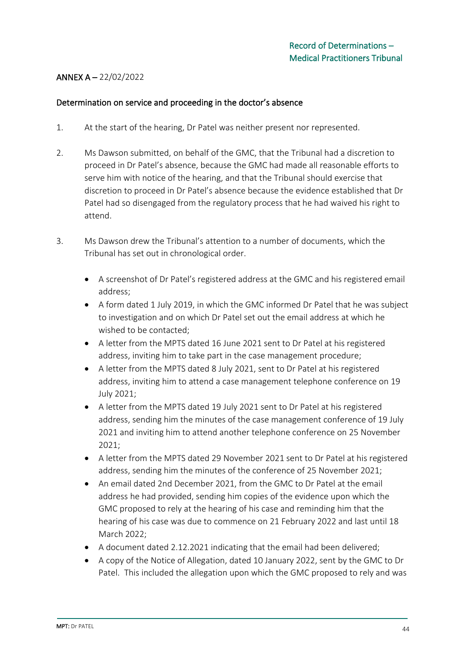## ANNEX A – 22/02/2022

#### Determination on service and proceeding in the doctor's absence

- 1. At the start of the hearing, Dr Patel was neither present nor represented.
- 2. Ms Dawson submitted, on behalf of the GMC, that the Tribunal had a discretion to proceed in Dr Patel's absence, because the GMC had made all reasonable efforts to serve him with notice of the hearing, and that the Tribunal should exercise that discretion to proceed in Dr Patel's absence because the evidence established that Dr Patel had so disengaged from the regulatory process that he had waived his right to attend.
- 3. Ms Dawson drew the Tribunal's attention to a number of documents, which the Tribunal has set out in chronological order.
	- A screenshot of Dr Patel's registered address at the GMC and his registered email address;
	- A form dated 1 July 2019, in which the GMC informed Dr Patel that he was subject to investigation and on which Dr Patel set out the email address at which he wished to be contacted;
	- A letter from the MPTS dated 16 June 2021 sent to Dr Patel at his registered address, inviting him to take part in the case management procedure;
	- A letter from the MPTS dated 8 July 2021, sent to Dr Patel at his registered address, inviting him to attend a case management telephone conference on 19 July 2021;
	- A letter from the MPTS dated 19 July 2021 sent to Dr Patel at his registered address, sending him the minutes of the case management conference of 19 July 2021 and inviting him to attend another telephone conference on 25 November 2021;
	- A letter from the MPTS dated 29 November 2021 sent to Dr Patel at his registered address, sending him the minutes of the conference of 25 November 2021;
	- An email dated 2nd December 2021, from the GMC to Dr Patel at the email address he had provided, sending him copies of the evidence upon which the GMC proposed to rely at the hearing of his case and reminding him that the hearing of his case was due to commence on 21 February 2022 and last until 18 March 2022;
	- A document dated 2.12.2021 indicating that the email had been delivered;
	- A copy of the Notice of Allegation, dated 10 January 2022, sent by the GMC to Dr Patel. This included the allegation upon which the GMC proposed to rely and was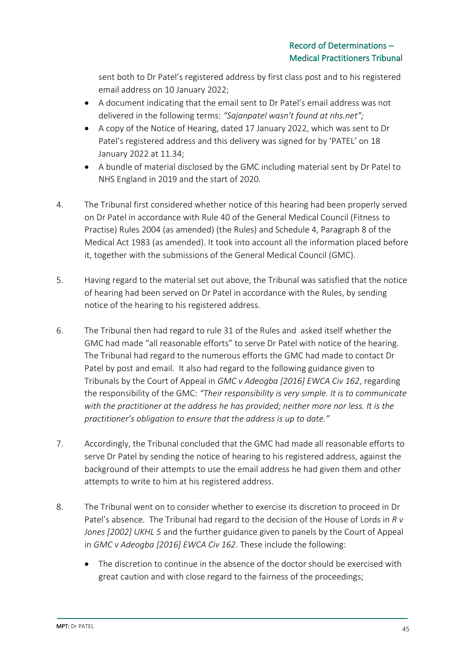sent both to Dr Patel's registered address by first class post and to his registered email address on 10 January 2022;

- A document indicating that the email sent to Dr Patel's email address was not delivered in the following terms: *"Sajanpatel wasn't found at nhs.net";*
- A copy of the Notice of Hearing, dated 17 January 2022, which was sent to Dr Patel's registered address and this delivery was signed for by 'PATEL' on 18 January 2022 at 11.34;
- A bundle of material disclosed by the GMC including material sent by Dr Patel to NHS England in 2019 and the start of 2020.
- 4. The Tribunal first considered whether notice of this hearing had been properly served on Dr Patel in accordance with Rule 40 of the General Medical Council (Fitness to Practise) Rules 2004 (as amended) (the Rules) and Schedule 4, Paragraph 8 of the Medical Act 1983 (as amended). It took into account all the information placed before it, together with the submissions of the General Medical Council (GMC).
- 5. Having regard to the material set out above, the Tribunal was satisfied that the notice of hearing had been served on Dr Patel in accordance with the Rules, by sending notice of the hearing to his registered address.
- 6. The Tribunal then had regard to rule 31 of the Rules and asked itself whether the GMC had made "all reasonable efforts" to serve Dr Patel with notice of the hearing. The Tribunal had regard to the numerous efforts the GMC had made to contact Dr Patel by post and email. It also had regard to the following guidance given to Tribunals by the Court of Appeal in *GMC v Adeogba [2016] EWCA Civ 162*, regarding the responsibility of the GMC: *"Their responsibility is very simple. It is to communicate with the practitioner at the address he has provided; neither more nor less. It is the practitioner's obligation to ensure that the address is up to date."*
- 7. Accordingly, the Tribunal concluded that the GMC had made all reasonable efforts to serve Dr Patel by sending the notice of hearing to his registered address, against the background of their attempts to use the email address he had given them and other attempts to write to him at his registered address.
- 8. The Tribunal went on to consider whether to exercise its discretion to proceed in Dr Patel's absence. The Tribunal had regard to the decision of the House of Lords in *R v Jones [2002] UKHL 5* and the further guidance given to panels by the Court of Appeal in *GMC v Adeogba [2016] EWCA Civ 162*. These include the following:
	- The discretion to continue in the absence of the doctor should be exercised with great caution and with close regard to the fairness of the proceedings;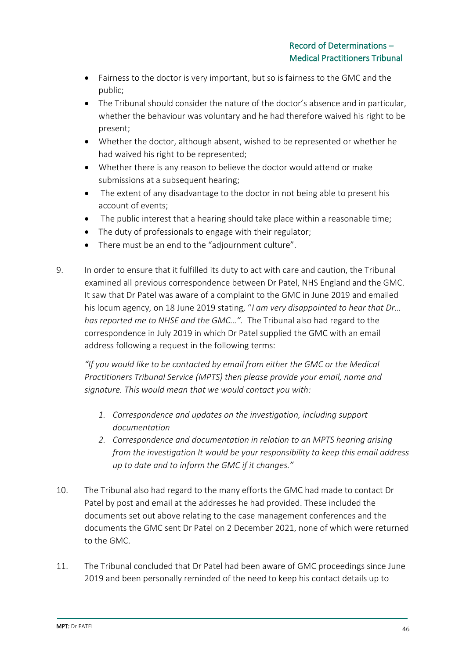- Fairness to the doctor is very important, but so is fairness to the GMC and the public;
- The Tribunal should consider the nature of the doctor's absence and in particular, whether the behaviour was voluntary and he had therefore waived his right to be present;
- Whether the doctor, although absent, wished to be represented or whether he had waived his right to be represented;
- Whether there is any reason to believe the doctor would attend or make submissions at a subsequent hearing;
- The extent of any disadvantage to the doctor in not being able to present his account of events;
- The public interest that a hearing should take place within a reasonable time;
- The duty of professionals to engage with their regulator;
- There must be an end to the "adjournment culture".
- 9. In order to ensure that it fulfilled its duty to act with care and caution, the Tribunal examined all previous correspondence between Dr Patel, NHS England and the GMC. It saw that Dr Patel was aware of a complaint to the GMC in June 2019 and emailed his locum agency, on 18 June 2019 stating, "*I am very disappointed to hear that Dr… has reported me to NHSE and the GMC…".* The Tribunal also had regard to the correspondence in July 2019 in which Dr Patel supplied the GMC with an email address following a request in the following terms:

*"If you would like to be contacted by email from either the GMC or the Medical Practitioners Tribunal Service (MPTS) then please provide your email, name and signature. This would mean that we would contact you with:*

- *1. Correspondence and updates on the investigation, including support documentation*
- *2. Correspondence and documentation in relation to an MPTS hearing arising from the investigation It would be your responsibility to keep this email address up to date and to inform the GMC if it changes."*
- 10. The Tribunal also had regard to the many efforts the GMC had made to contact Dr Patel by post and email at the addresses he had provided. These included the documents set out above relating to the case management conferences and the documents the GMC sent Dr Patel on 2 December 2021, none of which were returned to the GMC.
- 11. The Tribunal concluded that Dr Patel had been aware of GMC proceedings since June 2019 and been personally reminded of the need to keep his contact details up to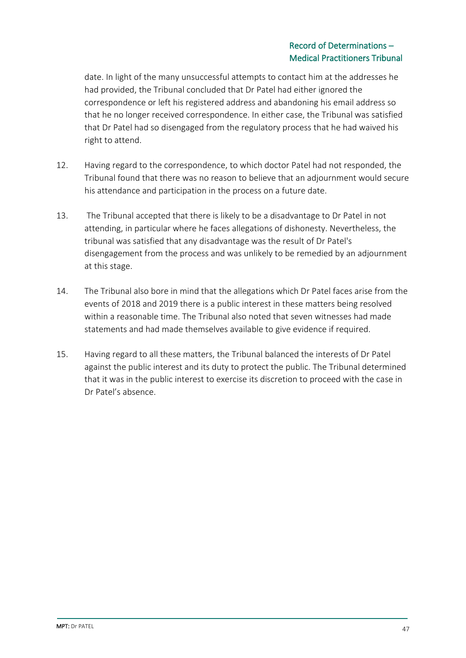date. In light of the many unsuccessful attempts to contact him at the addresses he had provided, the Tribunal concluded that Dr Patel had either ignored the correspondence or left his registered address and abandoning his email address so that he no longer received correspondence. In either case, the Tribunal was satisfied that Dr Patel had so disengaged from the regulatory process that he had waived his right to attend.

- 12. Having regard to the correspondence, to which doctor Patel had not responded, the Tribunal found that there was no reason to believe that an adjournment would secure his attendance and participation in the process on a future date.
- 13. The Tribunal accepted that there is likely to be a disadvantage to Dr Patel in not attending, in particular where he faces allegations of dishonesty. Nevertheless, the tribunal was satisfied that any disadvantage was the result of Dr Patel's disengagement from the process and was unlikely to be remedied by an adjournment at this stage.
- 14. The Tribunal also bore in mind that the allegations which Dr Patel faces arise from the events of 2018 and 2019 there is a public interest in these matters being resolved within a reasonable time. The Tribunal also noted that seven witnesses had made statements and had made themselves available to give evidence if required.
- 15. Having regard to all these matters, the Tribunal balanced the interests of Dr Patel against the public interest and its duty to protect the public. The Tribunal determined that it was in the public interest to exercise its discretion to proceed with the case in Dr Patel's absence.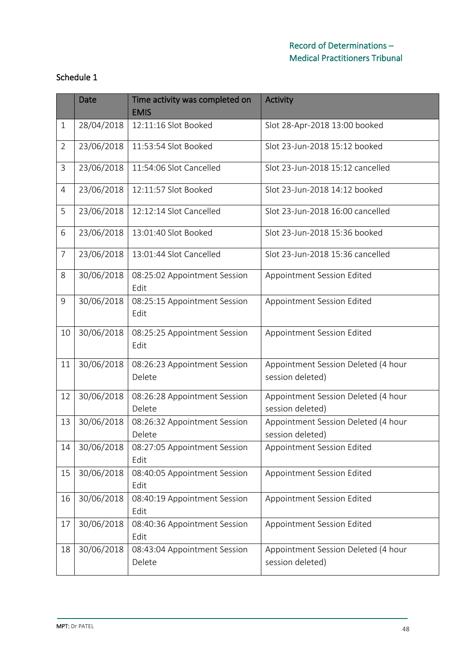|                | <b>Date</b> | Time activity was completed on<br><b>EMIS</b> | <b>Activity</b>                                         |  |  |
|----------------|-------------|-----------------------------------------------|---------------------------------------------------------|--|--|
| $\mathbf{1}$   | 28/04/2018  | 12:11:16 Slot Booked                          | Slot 28-Apr-2018 13:00 booked                           |  |  |
| $\overline{2}$ | 23/06/2018  | 11:53:54 Slot Booked                          | Slot 23-Jun-2018 15:12 booked                           |  |  |
| 3              | 23/06/2018  | 11:54:06 Slot Cancelled                       | Slot 23-Jun-2018 15:12 cancelled                        |  |  |
| 4              | 23/06/2018  | 12:11:57 Slot Booked                          | Slot 23-Jun-2018 14:12 booked                           |  |  |
| 5              | 23/06/2018  | 12:12:14 Slot Cancelled                       | Slot 23-Jun-2018 16:00 cancelled                        |  |  |
| 6              | 23/06/2018  | 13:01:40 Slot Booked                          | Slot 23-Jun-2018 15:36 booked                           |  |  |
| 7              | 23/06/2018  | 13:01:44 Slot Cancelled                       | Slot 23-Jun-2018 15:36 cancelled                        |  |  |
| 8              | 30/06/2018  | 08:25:02 Appointment Session<br>Edit          | Appointment Session Edited                              |  |  |
| 9              | 30/06/2018  | 08:25:15 Appointment Session<br>Edit          | Appointment Session Edited                              |  |  |
| 10             | 30/06/2018  | 08:25:25 Appointment Session<br>Edit          | Appointment Session Edited                              |  |  |
| 11             | 30/06/2018  | 08:26:23 Appointment Session<br>Delete        | Appointment Session Deleted (4 hour<br>session deleted) |  |  |
| 12             | 30/06/2018  | 08:26:28 Appointment Session<br>Delete        | Appointment Session Deleted (4 hour<br>session deleted) |  |  |
| 13             | 30/06/2018  | 08:26:32 Appointment Session<br>Delete        | Appointment Session Deleted (4 hour<br>session deleted) |  |  |
| 14             | 30/06/2018  | 08:27:05 Appointment Session<br>Edit          | Appointment Session Edited                              |  |  |
| 15             | 30/06/2018  | 08:40:05 Appointment Session<br>Edit          | Appointment Session Edited                              |  |  |
| 16             | 30/06/2018  | 08:40:19 Appointment Session<br>Edit          | Appointment Session Edited                              |  |  |
| 17             | 30/06/2018  | 08:40:36 Appointment Session<br>Edit          | Appointment Session Edited                              |  |  |
| 18             | 30/06/2018  | 08:43:04 Appointment Session<br>Delete        | Appointment Session Deleted (4 hour<br>session deleted) |  |  |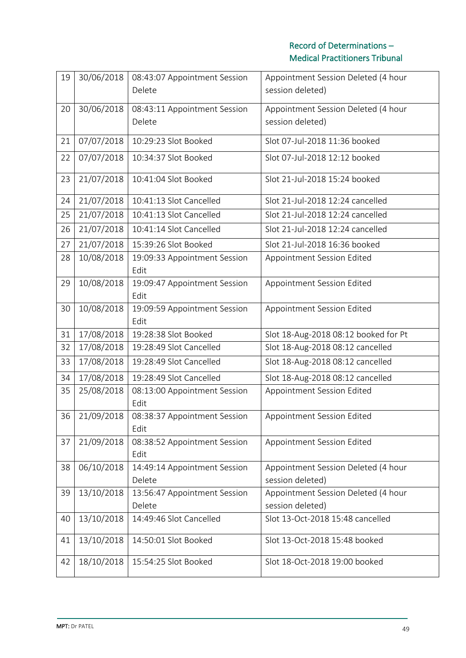| 19 | 30/06/2018 | 08:43:07 Appointment Session<br>Delete | Appointment Session Deleted (4 hour<br>session deleted) |  |  |
|----|------------|----------------------------------------|---------------------------------------------------------|--|--|
|    |            |                                        |                                                         |  |  |
| 20 | 30/06/2018 | 08:43:11 Appointment Session           | Appointment Session Deleted (4 hour                     |  |  |
|    |            | Delete                                 | session deleted)                                        |  |  |
| 21 | 07/07/2018 | 10:29:23 Slot Booked                   | Slot 07-Jul-2018 11:36 booked                           |  |  |
| 22 | 07/07/2018 | 10:34:37 Slot Booked                   | Slot 07-Jul-2018 12:12 booked                           |  |  |
| 23 | 21/07/2018 | 10:41:04 Slot Booked                   | Slot 21-Jul-2018 15:24 booked                           |  |  |
| 24 | 21/07/2018 | 10:41:13 Slot Cancelled                | Slot 21-Jul-2018 12:24 cancelled                        |  |  |
| 25 | 21/07/2018 | 10:41:13 Slot Cancelled                | Slot 21-Jul-2018 12:24 cancelled                        |  |  |
| 26 | 21/07/2018 | 10:41:14 Slot Cancelled                | Slot 21-Jul-2018 12:24 cancelled                        |  |  |
| 27 | 21/07/2018 | 15:39:26 Slot Booked                   | Slot 21-Jul-2018 16:36 booked                           |  |  |
| 28 | 10/08/2018 | 19:09:33 Appointment Session           | Appointment Session Edited                              |  |  |
|    |            | Edit                                   |                                                         |  |  |
| 29 | 10/08/2018 | 19:09:47 Appointment Session<br>Edit   | Appointment Session Edited                              |  |  |
| 30 | 10/08/2018 | 19:09:59 Appointment Session           | Appointment Session Edited                              |  |  |
|    |            | Edit                                   |                                                         |  |  |
| 31 | 17/08/2018 | 19:28:38 Slot Booked                   | Slot 18-Aug-2018 08:12 booked for Pt                    |  |  |
| 32 | 17/08/2018 | 19:28:49 Slot Cancelled                | Slot 18-Aug-2018 08:12 cancelled                        |  |  |
| 33 | 17/08/2018 | 19:28:49 Slot Cancelled                | Slot 18-Aug-2018 08:12 cancelled                        |  |  |
| 34 | 17/08/2018 | 19:28:49 Slot Cancelled                | Slot 18-Aug-2018 08:12 cancelled                        |  |  |
| 35 | 25/08/2018 | 08:13:00 Appointment Session<br>Edit   | Appointment Session Edited                              |  |  |
| 36 | 21/09/2018 | 08:38:37 Appointment Session<br>Edit   | Appointment Session Edited                              |  |  |
| 37 | 21/09/2018 | 08:38:52 Appointment Session<br>Edit   | Appointment Session Edited                              |  |  |
| 38 | 06/10/2018 | 14:49:14 Appointment Session           | Appointment Session Deleted (4 hour                     |  |  |
|    |            | Delete                                 | session deleted)                                        |  |  |
| 39 | 13/10/2018 | 13:56:47 Appointment Session           | Appointment Session Deleted (4 hour                     |  |  |
|    |            | Delete                                 | session deleted)                                        |  |  |
| 40 | 13/10/2018 | 14:49:46 Slot Cancelled                | Slot 13-Oct-2018 15:48 cancelled                        |  |  |
| 41 | 13/10/2018 | 14:50:01 Slot Booked                   | Slot 13-Oct-2018 15:48 booked                           |  |  |
| 42 | 18/10/2018 | 15:54:25 Slot Booked                   | Slot 18-Oct-2018 19:00 booked                           |  |  |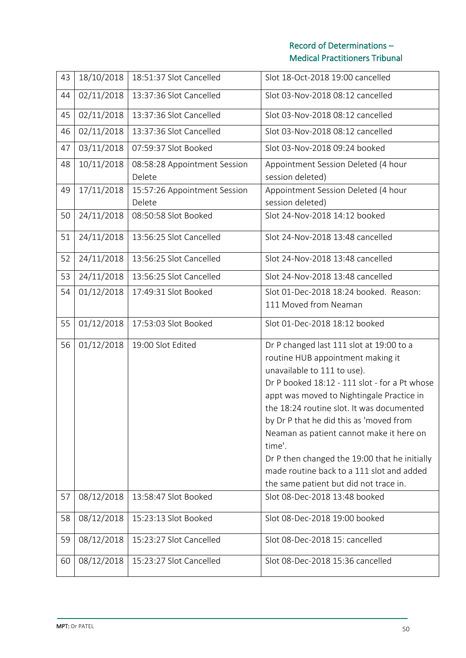| 43 | 18/10/2018                                                                | 18:51:37 Slot Cancelled                | Slot 18-Oct-2018 19:00 cancelled                                                                                                                                                                                                                                                                                                                                                                                                                                                                 |  |  |  |
|----|---------------------------------------------------------------------------|----------------------------------------|--------------------------------------------------------------------------------------------------------------------------------------------------------------------------------------------------------------------------------------------------------------------------------------------------------------------------------------------------------------------------------------------------------------------------------------------------------------------------------------------------|--|--|--|
| 44 | 02/11/2018                                                                | 13:37:36 Slot Cancelled                | Slot 03-Nov-2018 08:12 cancelled                                                                                                                                                                                                                                                                                                                                                                                                                                                                 |  |  |  |
| 45 | 02/11/2018                                                                | 13:37:36 Slot Cancelled                | Slot 03-Nov-2018 08:12 cancelled                                                                                                                                                                                                                                                                                                                                                                                                                                                                 |  |  |  |
| 46 | 02/11/2018                                                                | 13:37:36 Slot Cancelled                | Slot 03-Nov-2018 08:12 cancelled                                                                                                                                                                                                                                                                                                                                                                                                                                                                 |  |  |  |
| 47 | 03/11/2018                                                                | 07:59:37 Slot Booked                   | Slot 03-Nov-2018 09:24 booked                                                                                                                                                                                                                                                                                                                                                                                                                                                                    |  |  |  |
| 48 | 10/11/2018                                                                | 08:58:28 Appointment Session<br>Delete | Appointment Session Deleted (4 hour<br>session deleted)                                                                                                                                                                                                                                                                                                                                                                                                                                          |  |  |  |
| 49 | 17/11/2018                                                                | 15:57:26 Appointment Session<br>Delete | Appointment Session Deleted (4 hour<br>session deleted)                                                                                                                                                                                                                                                                                                                                                                                                                                          |  |  |  |
| 50 | 24/11/2018                                                                | 08:50:58 Slot Booked                   | Slot 24-Nov-2018 14:12 booked                                                                                                                                                                                                                                                                                                                                                                                                                                                                    |  |  |  |
| 51 | 24/11/2018                                                                | 13:56:25 Slot Cancelled                | Slot 24-Nov-2018 13:48 cancelled                                                                                                                                                                                                                                                                                                                                                                                                                                                                 |  |  |  |
| 52 | 24/11/2018                                                                | 13:56:25 Slot Cancelled                | Slot 24-Nov-2018 13:48 cancelled                                                                                                                                                                                                                                                                                                                                                                                                                                                                 |  |  |  |
| 53 | 24/11/2018                                                                | 13:56:25 Slot Cancelled                | Slot 24-Nov-2018 13:48 cancelled                                                                                                                                                                                                                                                                                                                                                                                                                                                                 |  |  |  |
| 54 | 01/12/2018                                                                | 17:49:31 Slot Booked                   | Slot 01-Dec-2018 18:24 booked. Reason:<br>111 Moved from Neaman                                                                                                                                                                                                                                                                                                                                                                                                                                  |  |  |  |
| 55 | 01/12/2018                                                                | 17:53:03 Slot Booked                   | Slot 01-Dec-2018 18:12 booked                                                                                                                                                                                                                                                                                                                                                                                                                                                                    |  |  |  |
| 56 | 01/12/2018                                                                | 19:00 Slot Edited                      | Dr P changed last 111 slot at 19:00 to a<br>routine HUB appointment making it<br>unavailable to 111 to use).<br>Dr P booked 18:12 - 111 slot - for a Pt whose<br>appt was moved to Nightingale Practice in<br>the 18:24 routine slot. It was documented<br>by Dr P that he did this as 'moved from<br>Neaman as patient cannot make it here on<br>time'.<br>Dr P then changed the 19:00 that he initially<br>made routine back to a 111 slot and added<br>the same patient but did not trace in. |  |  |  |
| 57 | 08/12/2018                                                                | 13:58:47 Slot Booked                   | Slot 08-Dec-2018 13:48 booked                                                                                                                                                                                                                                                                                                                                                                                                                                                                    |  |  |  |
| 58 | 08/12/2018                                                                | 15:23:13 Slot Booked                   | Slot 08-Dec-2018 19:00 booked                                                                                                                                                                                                                                                                                                                                                                                                                                                                    |  |  |  |
| 59 | 08/12/2018                                                                | 15:23:27 Slot Cancelled                | Slot 08-Dec-2018 15: cancelled                                                                                                                                                                                                                                                                                                                                                                                                                                                                   |  |  |  |
| 60 | 08/12/2018<br>15:23:27 Slot Cancelled<br>Slot 08-Dec-2018 15:36 cancelled |                                        |                                                                                                                                                                                                                                                                                                                                                                                                                                                                                                  |  |  |  |
|    |                                                                           |                                        |                                                                                                                                                                                                                                                                                                                                                                                                                                                                                                  |  |  |  |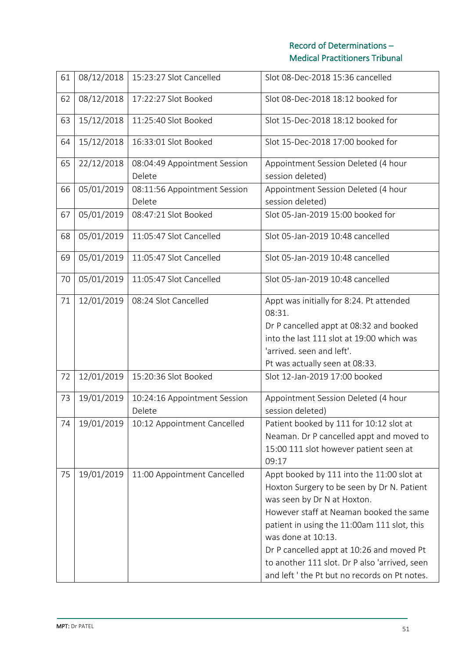| 61 | 08/12/2018 | 15:23:27 Slot Cancelled                | Slot 08-Dec-2018 15:36 cancelled                                                                                                                                                                                                                                                                                                                                                      |  |  |  |
|----|------------|----------------------------------------|---------------------------------------------------------------------------------------------------------------------------------------------------------------------------------------------------------------------------------------------------------------------------------------------------------------------------------------------------------------------------------------|--|--|--|
| 62 | 08/12/2018 | 17:22:27 Slot Booked                   | Slot 08-Dec-2018 18:12 booked for                                                                                                                                                                                                                                                                                                                                                     |  |  |  |
| 63 | 15/12/2018 | 11:25:40 Slot Booked                   | Slot 15-Dec-2018 18:12 booked for                                                                                                                                                                                                                                                                                                                                                     |  |  |  |
| 64 | 15/12/2018 | 16:33:01 Slot Booked                   | Slot 15-Dec-2018 17:00 booked for                                                                                                                                                                                                                                                                                                                                                     |  |  |  |
| 65 | 22/12/2018 | 08:04:49 Appointment Session<br>Delete | Appointment Session Deleted (4 hour<br>session deleted)                                                                                                                                                                                                                                                                                                                               |  |  |  |
| 66 | 05/01/2019 | 08:11:56 Appointment Session<br>Delete | Appointment Session Deleted (4 hour<br>session deleted)                                                                                                                                                                                                                                                                                                                               |  |  |  |
| 67 | 05/01/2019 | 08:47:21 Slot Booked                   | Slot 05-Jan-2019 15:00 booked for                                                                                                                                                                                                                                                                                                                                                     |  |  |  |
| 68 | 05/01/2019 | 11:05:47 Slot Cancelled                | Slot 05-Jan-2019 10:48 cancelled                                                                                                                                                                                                                                                                                                                                                      |  |  |  |
| 69 | 05/01/2019 | 11:05:47 Slot Cancelled                | Slot 05-Jan-2019 10:48 cancelled                                                                                                                                                                                                                                                                                                                                                      |  |  |  |
| 70 | 05/01/2019 | 11:05:47 Slot Cancelled                | Slot 05-Jan-2019 10:48 cancelled                                                                                                                                                                                                                                                                                                                                                      |  |  |  |
| 71 | 12/01/2019 | 08:24 Slot Cancelled                   | Appt was initially for 8:24. Pt attended<br>08:31.<br>Dr P cancelled appt at 08:32 and booked<br>into the last 111 slot at 19:00 which was<br>'arrived. seen and left'.<br>Pt was actually seen at 08:33.                                                                                                                                                                             |  |  |  |
| 72 | 12/01/2019 | 15:20:36 Slot Booked                   | Slot 12-Jan-2019 17:00 booked                                                                                                                                                                                                                                                                                                                                                         |  |  |  |
| 73 | 19/01/2019 | 10:24:16 Appointment Session<br>Delete | Appointment Session Deleted (4 hour<br>session deleted)                                                                                                                                                                                                                                                                                                                               |  |  |  |
| 74 | 19/01/2019 | 10:12 Appointment Cancelled            | Patient booked by 111 for 10:12 slot at<br>Neaman. Dr P cancelled appt and moved to<br>15:00 111 slot however patient seen at<br>09:17                                                                                                                                                                                                                                                |  |  |  |
| 75 | 19/01/2019 | 11:00 Appointment Cancelled            | Appt booked by 111 into the 11:00 slot at<br>Hoxton Surgery to be seen by Dr N. Patient<br>was seen by Dr N at Hoxton.<br>However staff at Neaman booked the same<br>patient in using the 11:00am 111 slot, this<br>was done at 10:13.<br>Dr P cancelled appt at 10:26 and moved Pt<br>to another 111 slot. Dr P also 'arrived, seen<br>and left ' the Pt but no records on Pt notes. |  |  |  |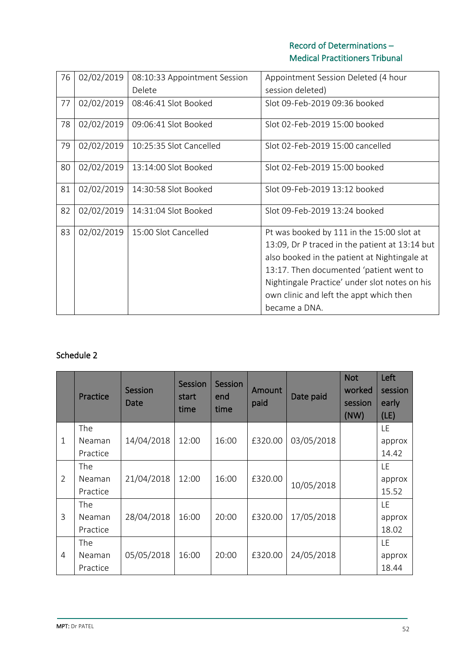| 76 | 02/02/2019 | 08:10:33 Appointment Session | Appointment Session Deleted (4 hour                                                                                                                                                                                                                                                                 |  |  |
|----|------------|------------------------------|-----------------------------------------------------------------------------------------------------------------------------------------------------------------------------------------------------------------------------------------------------------------------------------------------------|--|--|
|    |            | Delete                       | session deleted)                                                                                                                                                                                                                                                                                    |  |  |
| 77 | 02/02/2019 | 08:46:41 Slot Booked         | Slot 09-Feb-2019 09:36 booked                                                                                                                                                                                                                                                                       |  |  |
| 78 | 02/02/2019 | 09:06:41 Slot Booked         | Slot 02-Feb-2019 15:00 booked                                                                                                                                                                                                                                                                       |  |  |
| 79 | 02/02/2019 | 10:25:35 Slot Cancelled      | Slot 02-Feb-2019 15:00 cancelled                                                                                                                                                                                                                                                                    |  |  |
| 80 | 02/02/2019 | 13:14:00 Slot Booked         | Slot 02-Feb-2019 15:00 booked                                                                                                                                                                                                                                                                       |  |  |
| 81 | 02/02/2019 | 14:30:58 Slot Booked         | Slot 09-Feb-2019 13:12 booked                                                                                                                                                                                                                                                                       |  |  |
| 82 | 02/02/2019 | 14:31:04 Slot Booked         | Slot 09-Feb-2019 13:24 booked                                                                                                                                                                                                                                                                       |  |  |
| 83 | 02/02/2019 | 15:00 Slot Cancelled         | Pt was booked by 111 in the 15:00 slot at<br>13:09, Dr P traced in the patient at 13:14 but<br>also booked in the patient at Nightingale at<br>13:17. Then documented 'patient went to<br>Nightingale Practice' under slot notes on his<br>own clinic and left the appt which then<br>became a DNA. |  |  |

# Schedule 2

|                | Practice   | Session<br>Date | <b>Session</b><br>start<br>time | Session<br>end<br>time | Amount<br>paid | Date paid  | <b>Not</b><br>worked<br>session<br>(NW) | Left<br>session<br>early<br>(LE) |
|----------------|------------|-----------------|---------------------------------|------------------------|----------------|------------|-----------------------------------------|----------------------------------|
|                | The        |                 |                                 |                        |                |            |                                         | <b>LE</b>                        |
| $\mathbf{1}$   | Neaman     | 14/04/2018      | 12:00                           | 16:00                  | £320.00        | 03/05/2018 |                                         | approx                           |
|                | Practice   |                 |                                 |                        |                |            |                                         | 14.42                            |
|                | The        |                 |                                 |                        |                |            |                                         | LE.                              |
| $\overline{2}$ | Neaman     | 21/04/2018      | 12:00                           | 16:00                  | £320.00        | 10/05/2018 |                                         | approx                           |
|                | Practice   |                 |                                 |                        |                |            |                                         | 15.52                            |
|                | <b>The</b> |                 |                                 |                        |                |            |                                         | LE.                              |
| $\overline{3}$ | Neaman     | 28/04/2018      | 16:00                           | 20:00                  | £320.00        | 17/05/2018 |                                         | approx                           |
|                | Practice   |                 |                                 |                        |                |            |                                         | 18.02                            |
|                | The        |                 |                                 |                        |                |            |                                         | LE.                              |
| $\overline{4}$ | Neaman     | 05/05/2018      | 16:00                           | 20:00                  | £320.00        | 24/05/2018 |                                         | approx                           |
|                | Practice   |                 |                                 |                        |                |            |                                         | 18.44                            |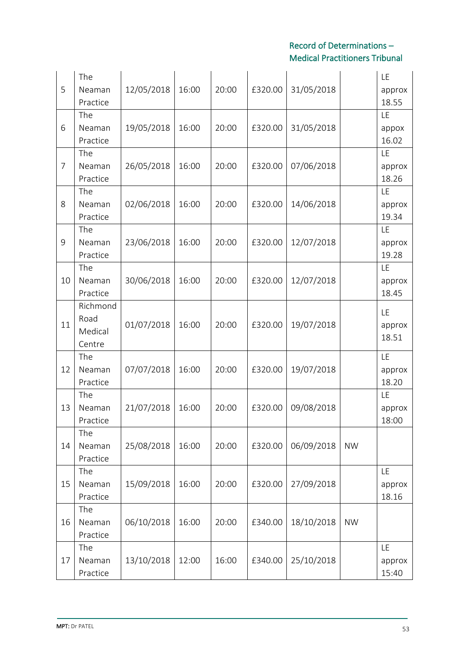| 5              | The<br>Neaman<br>Practice             | 12/05/2018 | 16:00 | 20:00 | £320.00 | 31/05/2018 |           | LE<br>approx<br>18.55 |
|----------------|---------------------------------------|------------|-------|-------|---------|------------|-----------|-----------------------|
| 6              | The<br>Neaman<br>Practice             | 19/05/2018 | 16:00 | 20:00 | £320.00 | 31/05/2018 |           | LE<br>appox<br>16.02  |
| $\overline{7}$ | The<br>Neaman<br>Practice             | 26/05/2018 | 16:00 | 20:00 | £320.00 | 07/06/2018 |           | LE<br>approx<br>18.26 |
| 8              | The<br>Neaman<br>Practice             | 02/06/2018 | 16:00 | 20:00 | £320.00 | 14/06/2018 |           | LE<br>approx<br>19.34 |
| 9              | The<br>Neaman<br>Practice             | 23/06/2018 | 16:00 | 20:00 | £320.00 | 12/07/2018 |           | LE<br>approx<br>19.28 |
| 10             | The<br>Neaman<br>Practice             | 30/06/2018 | 16:00 | 20:00 | £320.00 | 12/07/2018 |           | LE<br>approx<br>18.45 |
| 11             | Richmond<br>Road<br>Medical<br>Centre | 01/07/2018 | 16:00 | 20:00 | £320.00 | 19/07/2018 |           | LE<br>approx<br>18.51 |
| 12             | The<br>Neaman<br>Practice             | 07/07/2018 | 16:00 | 20:00 | £320.00 | 19/07/2018 |           | LE<br>approx<br>18.20 |
| 13             | The<br>Neaman<br>Practice             | 21/07/2018 | 16:00 | 20:00 | £320.00 | 09/08/2018 |           | LE<br>approx<br>18:00 |
| 14             | The<br>Neaman<br>Practice             | 25/08/2018 | 16:00 | 20:00 | £320.00 | 06/09/2018 | <b>NW</b> |                       |
| 15             | The<br>Neaman<br>Practice             | 15/09/2018 | 16:00 | 20:00 | £320.00 | 27/09/2018 |           | LE<br>approx<br>18.16 |
| 16             | The<br>Neaman<br>Practice             | 06/10/2018 | 16:00 | 20:00 | £340.00 | 18/10/2018 | <b>NW</b> |                       |
| 17             | The<br>Neaman<br>Practice             | 13/10/2018 | 12:00 | 16:00 | £340.00 | 25/10/2018 |           | LE<br>approx<br>15:40 |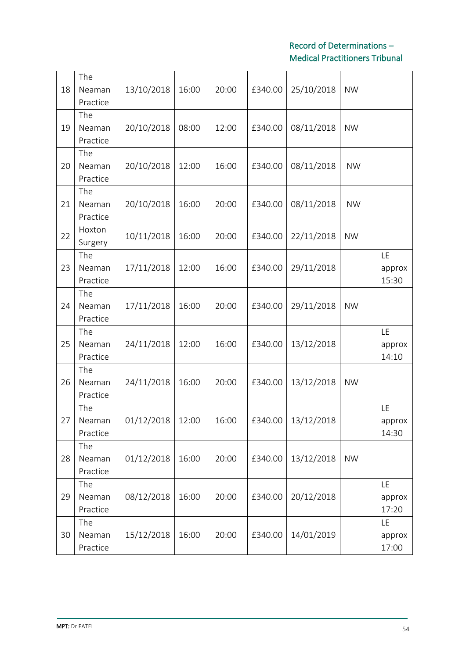| 18 | The<br>Neaman<br>Practice | 13/10/2018         | 16:00 | 20:00 | £340.00 | 25/10/2018         | <b>NW</b> |                              |
|----|---------------------------|--------------------|-------|-------|---------|--------------------|-----------|------------------------------|
| 19 | The<br>Neaman<br>Practice | 20/10/2018         | 08:00 | 12:00 | £340.00 | 08/11/2018         | <b>NW</b> |                              |
| 20 | The<br>Neaman<br>Practice | 20/10/2018         | 12:00 | 16:00 | £340.00 | 08/11/2018         | <b>NW</b> |                              |
| 21 | The<br>Neaman<br>Practice | 20/10/2018         | 16:00 | 20:00 | £340.00 | 08/11/2018         | <b>NW</b> |                              |
| 22 | Hoxton<br>Surgery         | 10/11/2018         | 16:00 | 20:00 | £340.00 | 22/11/2018         | <b>NW</b> |                              |
| 23 | The<br>Neaman<br>Practice | 17/11/2018         | 12:00 | 16:00 | £340.00 | 29/11/2018         |           | LE<br>approx<br>15:30        |
| 24 | The<br>Neaman<br>Practice | 17/11/2018         | 16:00 | 20:00 | £340.00 | 29/11/2018         | <b>NW</b> |                              |
| 25 | The<br>Neaman<br>Practice | 24/11/2018         | 12:00 | 16:00 | £340.00 | 13/12/2018         |           | LE<br>approx<br>14:10        |
| 26 | The<br>Neaman<br>Practice | 24/11/2018         | 16:00 | 20:00 | £340.00 | 13/12/2018         | <b>NW</b> |                              |
| 27 | The<br>Neaman<br>Practice | $01/12/2018$ 12:00 |       | 16:00 |         | £340.00 13/12/2018 |           | LE<br>approx<br>14:30        |
| 28 | The<br>Neaman<br>Practice | 01/12/2018         | 16:00 | 20:00 | £340.00 | 13/12/2018         | <b>NW</b> |                              |
| 29 | The<br>Neaman<br>Practice | 08/12/2018         | 16:00 | 20:00 | £340.00 | 20/12/2018         |           | <b>LE</b><br>approx<br>17:20 |
| 30 | The<br>Neaman<br>Practice | 15/12/2018         | 16:00 | 20:00 | £340.00 | 14/01/2019         |           | <b>LE</b><br>approx<br>17:00 |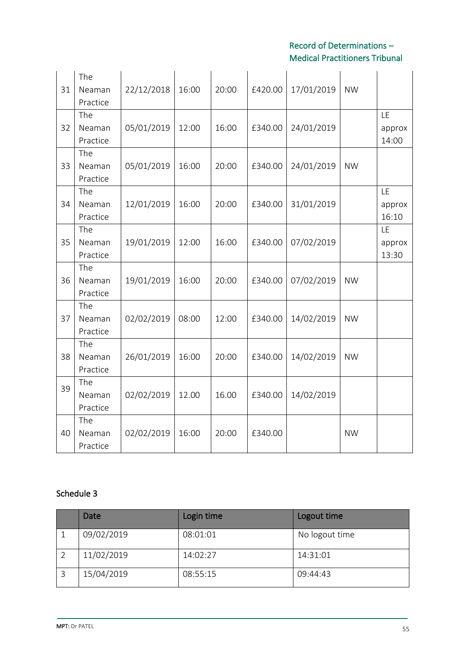| 31 | The<br>Neaman<br>Practice | 22/12/2018 | 16:00 | 20:00 | £420.00 | 17/01/2019 | <b>NW</b> |                       |
|----|---------------------------|------------|-------|-------|---------|------------|-----------|-----------------------|
| 32 | The<br>Neaman<br>Practice | 05/01/2019 | 12:00 | 16:00 | £340.00 | 24/01/2019 |           | LE<br>approx<br>14:00 |
| 33 | The<br>Neaman<br>Practice | 05/01/2019 | 16:00 | 20:00 | £340.00 | 24/01/2019 | <b>NW</b> |                       |
| 34 | The<br>Neaman<br>Practice | 12/01/2019 | 16:00 | 20:00 | £340.00 | 31/01/2019 |           | LE<br>approx<br>16:10 |
| 35 | The<br>Neaman<br>Practice | 19/01/2019 | 12:00 | 16:00 | £340.00 | 07/02/2019 |           | LE<br>approx<br>13:30 |
| 36 | The<br>Neaman<br>Practice | 19/01/2019 | 16:00 | 20:00 | £340.00 | 07/02/2019 | <b>NW</b> |                       |
| 37 | The<br>Neaman<br>Practice | 02/02/2019 | 08:00 | 12:00 | £340.00 | 14/02/2019 | <b>NW</b> |                       |
| 38 | The<br>Neaman<br>Practice | 26/01/2019 | 16:00 | 20:00 | £340.00 | 14/02/2019 | <b>NW</b> |                       |
| 39 | The<br>Neaman<br>Practice | 02/02/2019 | 12.00 | 16.00 | £340.00 | 14/02/2019 |           |                       |
| 40 | The<br>Neaman<br>Practice | 02/02/2019 | 16:00 | 20:00 | £340.00 |            | <b>NW</b> |                       |

# Schedule 3

| Date       | Login time | Logout time    |
|------------|------------|----------------|
| 09/02/2019 | 08:01:01   | No logout time |
| 11/02/2019 | 14:02:27   | 14:31:01       |
| 15/04/2019 | 08:55:15   | 09:44:43       |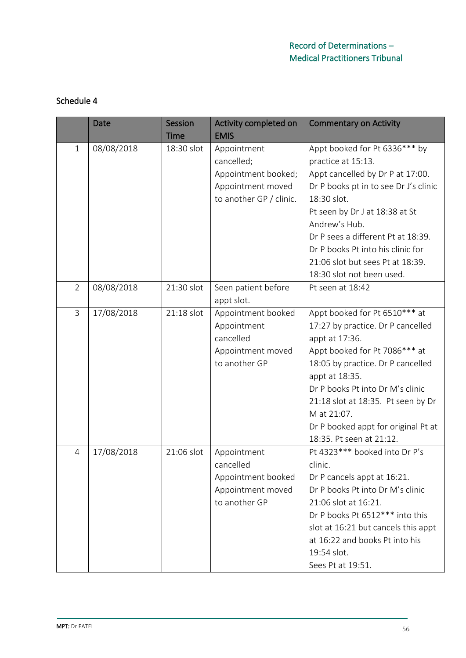# Schedule 4

|                | <b>Date</b> | <b>Session</b> | Activity completed on   | <b>Commentary on Activity</b>         |
|----------------|-------------|----------------|-------------------------|---------------------------------------|
|                |             | Time           | <b>EMIS</b>             |                                       |
| 1              | 08/08/2018  | 18:30 slot     | Appointment             | Appt booked for Pt 6336*** by         |
|                |             |                | cancelled;              | practice at 15:13.                    |
|                |             |                | Appointment booked;     | Appt cancelled by Dr P at 17:00.      |
|                |             |                | Appointment moved       | Dr P books pt in to see Dr J's clinic |
|                |             |                | to another GP / clinic. | 18:30 slot.                           |
|                |             |                |                         | Pt seen by Dr J at 18:38 at St        |
|                |             |                |                         | Andrew's Hub.                         |
|                |             |                |                         | Dr P sees a different Pt at 18:39.    |
|                |             |                |                         | Dr P books Pt into his clinic for     |
|                |             |                |                         | 21:06 slot but sees Pt at 18:39.      |
|                |             |                |                         | 18:30 slot not been used.             |
| $\overline{2}$ | 08/08/2018  | 21:30 slot     | Seen patient before     | Pt seen at 18:42                      |
|                |             |                | appt slot.              |                                       |
| $\overline{3}$ | 17/08/2018  | 21:18 slot     | Appointment booked      | Appt booked for Pt 6510*** at         |
|                |             |                | Appointment             | 17:27 by practice. Dr P cancelled     |
|                |             |                | cancelled               | appt at 17:36.                        |
|                |             |                | Appointment moved       | Appt booked for Pt 7086*** at         |
|                |             |                | to another GP           | 18:05 by practice. Dr P cancelled     |
|                |             |                |                         | appt at 18:35.                        |
|                |             |                |                         | Dr P books Pt into Dr M's clinic      |
|                |             |                |                         | 21:18 slot at 18:35. Pt seen by Dr    |
|                |             |                |                         | M at 21:07.                           |
|                |             |                |                         | Dr P booked appt for original Pt at   |
|                |             |                |                         | 18:35. Pt seen at 21:12.              |
| $\overline{4}$ | 17/08/2018  | 21:06 slot     | Appointment             | Pt 4323*** booked into Dr P's         |
|                |             |                | cancelled               | clinic.                               |
|                |             |                | Appointment booked      | Dr P cancels appt at 16:21.           |
|                |             |                | Appointment moved       | Dr P books Pt into Dr M's clinic      |
|                |             |                | to another GP           | 21:06 slot at 16:21.                  |
|                |             |                |                         | Dr P books Pt 6512*** into this       |
|                |             |                |                         | slot at 16:21 but cancels this appt   |
|                |             |                |                         | at 16:22 and books Pt into his        |
|                |             |                |                         | 19:54 slot.                           |
|                |             |                |                         | Sees Pt at 19:51.                     |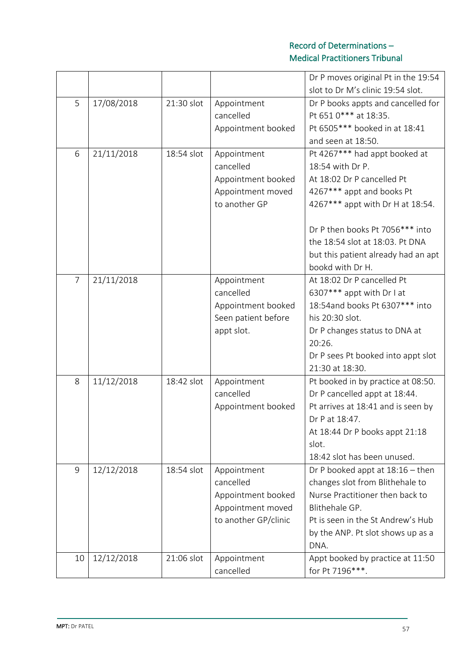|                |            |            |                          | Dr P moves original Pt in the 19:54                 |
|----------------|------------|------------|--------------------------|-----------------------------------------------------|
|                |            |            |                          | slot to Dr M's clinic 19:54 slot.                   |
| 5              | 17/08/2018 | 21:30 slot | Appointment              | Dr P books appts and cancelled for                  |
|                |            |            | cancelled                | Pt 651 0*** at 18:35.                               |
|                |            |            | Appointment booked       | Pt 6505*** booked in at 18:41<br>and seen at 18:50. |
| 6              |            | 18:54 slot |                          |                                                     |
|                | 21/11/2018 |            | Appointment<br>cancelled | Pt 4267*** had appt booked at<br>18:54 with Dr P.   |
|                |            |            | Appointment booked       | At 18:02 Dr P cancelled Pt                          |
|                |            |            | Appointment moved        | 4267*** appt and books Pt                           |
|                |            |            | to another GP            | 4267*** appt with Dr H at 18:54.                    |
|                |            |            |                          |                                                     |
|                |            |            |                          | Dr P then books Pt 7056*** into                     |
|                |            |            |                          | the 18:54 slot at 18:03. Pt DNA                     |
|                |            |            |                          | but this patient already had an apt                 |
|                |            |            |                          | bookd with Dr H.                                    |
| $\overline{7}$ | 21/11/2018 |            | Appointment              | At 18:02 Dr P cancelled Pt                          |
|                |            |            | cancelled                | 6307*** appt with Dr I at                           |
|                |            |            | Appointment booked       | 18:54 and books Pt 6307*** into                     |
|                |            |            | Seen patient before      | his 20:30 slot.                                     |
|                |            |            | appt slot.               | Dr P changes status to DNA at                       |
|                |            |            |                          | 20:26.                                              |
|                |            |            |                          | Dr P sees Pt booked into appt slot                  |
|                |            |            |                          | 21:30 at 18:30.                                     |
| 8              | 11/12/2018 | 18:42 slot | Appointment              | Pt booked in by practice at 08:50.                  |
|                |            |            | cancelled                | Dr P cancelled appt at 18:44.                       |
|                |            |            | Appointment booked       | Pt arrives at 18:41 and is seen by                  |
|                |            |            |                          | Dr P at 18:47.                                      |
|                |            |            |                          | At 18:44 Dr P books appt 21:18                      |
|                |            |            |                          | slot.                                               |
|                |            |            |                          | 18:42 slot has been unused.                         |
| 9              | 12/12/2018 | 18:54 slot | Appointment              | Dr P booked appt at $18:16$ – then                  |
|                |            |            | cancelled                | changes slot from Blithehale to                     |
|                |            |            | Appointment booked       | Nurse Practitioner then back to                     |
|                |            |            | Appointment moved        | Blithehale GP.                                      |
|                |            |            | to another GP/clinic     | Pt is seen in the St Andrew's Hub                   |
|                |            |            |                          | by the ANP. Pt slot shows up as a                   |
|                |            |            |                          | DNA.                                                |
| 10             | 12/12/2018 | 21:06 slot | Appointment              | Appt booked by practice at 11:50                    |
|                |            |            | cancelled                | for Pt 7196***.                                     |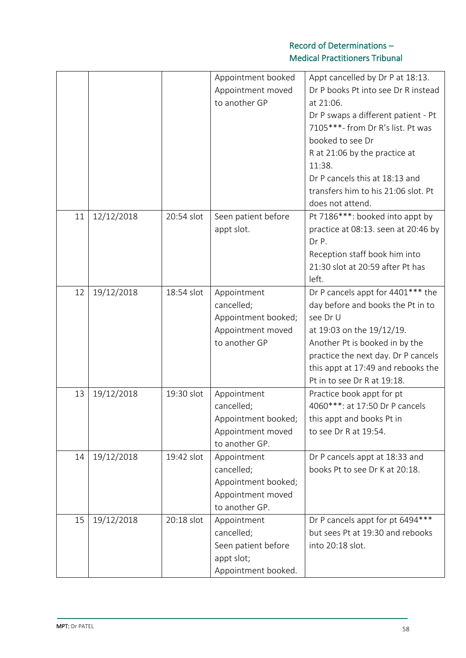|    |            |            | Appointment booked<br>Appointment moved<br>to another GP                                | Appt cancelled by Dr P at 18:13.<br>Dr P books Pt into see Dr R instead<br>at 21:06.<br>Dr P swaps a different patient - Pt<br>7105***- from Dr R's list. Pt was<br>booked to see Dr<br>R at 21:06 by the practice at<br>11:38.<br>Dr P cancels this at 18:13 and<br>transfers him to his 21:06 slot. Pt<br>does not attend. |
|----|------------|------------|-----------------------------------------------------------------------------------------|------------------------------------------------------------------------------------------------------------------------------------------------------------------------------------------------------------------------------------------------------------------------------------------------------------------------------|
| 11 | 12/12/2018 | 20:54 slot | Seen patient before<br>appt slot.                                                       | Pt 7186***: booked into appt by<br>practice at 08:13. seen at 20:46 by<br>Dr P.<br>Reception staff book him into<br>21:30 slot at 20:59 after Pt has<br>left.                                                                                                                                                                |
| 12 | 19/12/2018 | 18:54 slot | Appointment<br>cancelled;<br>Appointment booked;<br>Appointment moved<br>to another GP  | Dr P cancels appt for 4401*** the<br>day before and books the Pt in to<br>see Dr U<br>at 19:03 on the 19/12/19.<br>Another Pt is booked in by the<br>practice the next day. Dr P cancels<br>this appt at 17:49 and rebooks the<br>Pt in to see Dr R at 19:18.                                                                |
| 13 | 19/12/2018 | 19:30 slot | Appointment<br>cancelled;<br>Appointment booked;<br>Appointment moved<br>to another GP. | Practice book appt for pt<br>4060***: at 17:50 Dr P cancels<br>this appt and books Pt in<br>to see Dr R at 19:54.                                                                                                                                                                                                            |
| 14 | 19/12/2018 | 19:42 slot | Appointment<br>cancelled;<br>Appointment booked;<br>Appointment moved<br>to another GP. | Dr P cancels appt at 18:33 and<br>books Pt to see Dr K at 20:18.                                                                                                                                                                                                                                                             |
| 15 | 19/12/2018 | 20:18 slot | Appointment<br>cancelled;<br>Seen patient before<br>appt slot;<br>Appointment booked.   | Dr P cancels appt for pt 6494***<br>but sees Pt at 19:30 and rebooks<br>into 20:18 slot.                                                                                                                                                                                                                                     |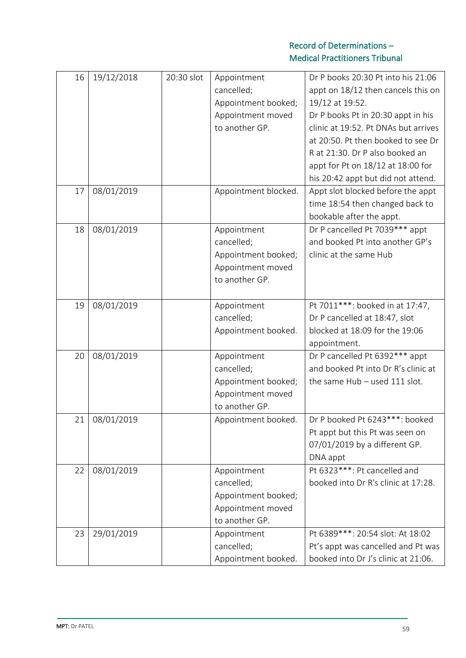| 16 | 19/12/2018 | 20:30 slot | Appointment<br>cancelled;<br>Appointment booked;<br>Appointment moved<br>to another GP. | Dr P books 20:30 Pt into his 21:06<br>appt on 18/12 then cancels this on<br>19/12 at 19:52.<br>Dr P books Pt in 20:30 appt in his<br>clinic at 19:52. Pt DNAs but arrives<br>at 20:50. Pt then booked to see Dr<br>R at 21:30. Dr P also booked an<br>appt for Pt on 18/12 at 18:00 for<br>his 20:42 appt but did not attend. |
|----|------------|------------|-----------------------------------------------------------------------------------------|-------------------------------------------------------------------------------------------------------------------------------------------------------------------------------------------------------------------------------------------------------------------------------------------------------------------------------|
| 17 | 08/01/2019 |            | Appointment blocked.                                                                    | Appt slot blocked before the appt<br>time 18:54 then changed back to<br>bookable after the appt.                                                                                                                                                                                                                              |
| 18 | 08/01/2019 |            | Appointment<br>cancelled;<br>Appointment booked;<br>Appointment moved<br>to another GP. | Dr P cancelled Pt 7039*** appt<br>and booked Pt into another GP's<br>clinic at the same Hub                                                                                                                                                                                                                                   |
| 19 | 08/01/2019 |            | Appointment<br>cancelled;<br>Appointment booked.                                        | Pt 7011 ***: booked in at 17:47,<br>Dr P cancelled at 18:47, slot<br>blocked at 18:09 for the 19:06<br>appointment.                                                                                                                                                                                                           |
| 20 | 08/01/2019 |            | Appointment<br>cancelled;<br>Appointment booked;<br>Appointment moved<br>to another GP. | Dr P cancelled Pt 6392*** appt<br>and booked Pt into Dr R's clinic at<br>the same $Hub - used 111$ slot.                                                                                                                                                                                                                      |
| 21 | 08/01/2019 |            | Appointment booked.                                                                     | Dr P booked Pt 6243***: booked<br>Pt appt but this Pt was seen on<br>07/01/2019 by a different GP.<br>DNA appt                                                                                                                                                                                                                |
| 22 | 08/01/2019 |            | Appointment<br>cancelled;<br>Appointment booked;<br>Appointment moved<br>to another GP. | Pt 6323 ***: Pt cancelled and<br>booked into Dr R's clinic at 17:28.                                                                                                                                                                                                                                                          |
| 23 | 29/01/2019 |            | Appointment<br>cancelled;<br>Appointment booked.                                        | Pt 6389 ***: 20:54 slot: At 18:02<br>Pt's appt was cancelled and Pt was<br>booked into Dr J's clinic at 21:06.                                                                                                                                                                                                                |